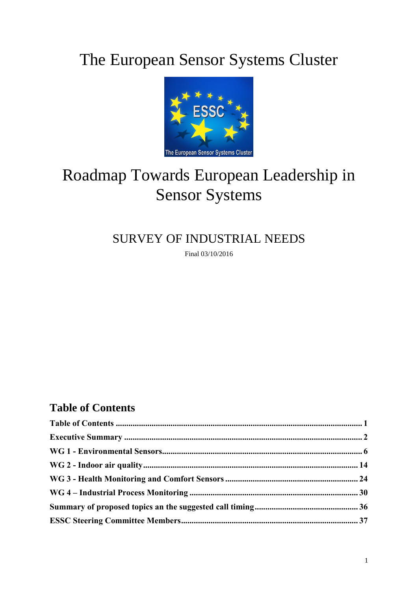# The European Sensor Systems Cluster



# Roadmap Towards European Leadership in Sensor Systems

## SURVEY OF INDUSTRIAL NEEDS

Final 03/10/2016

## **Table of Contents**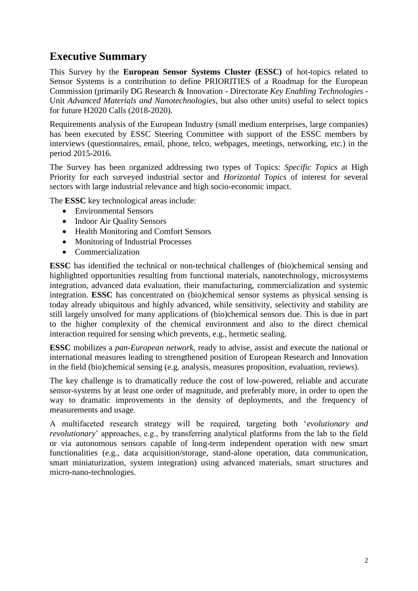### **Executive Summary**

This Survey by the **European Sensor Systems Cluster (ESSC)** of hot-topics related to Sensor Systems is a contribution to define PRIORITIES of a Roadmap for the European Commission (primarily DG Research & Innovation - Directorate *Key Enabling Technologies* - Unit *Advanced Materials and Nanotechnologies*, but also other units) useful to select topics for future H2020 Calls (2018-2020).

Requirements analysis of the European Industry (small medium enterprises, large companies) has been executed by ESSC Steering Committee with support of the ESSC members by interviews (questionnaires, email, phone, telco, webpages, meetings, networking, etc.) in the period 2015-2016.

The Survey has been organized addressing two types of Topics: *Specific Topics* at High Priority for each surveyed industrial sector and *Horizontal Topics* of interest for several sectors with large industrial relevance and high socio-economic impact.

The **ESSC** key technological areas include:

- Environmental Sensors
- Indoor Air Quality Sensors
- Health Monitoring and Comfort Sensors
- Monitoring of Industrial Processes
- Commercialization

**ESSC** has identified the technical or non-technical challenges of (bio)chemical sensing and highlighted opportunities resulting from functional materials, nanotechnology, microsystems integration, advanced data evaluation, their manufacturing, commercialization and systemic integration. **ESSC** has concentrated on (bio)chemical sensor systems as physical sensing is today already ubiquitous and highly advanced, while sensitivity, selectivity and stability are still largely unsolved for many applications of (bio)chemical sensors due. This is due in part to the higher complexity of the chemical environment and also to the direct chemical interaction required for sensing which prevents, e.g., hermetic sealing.

**ESSC** mobilizes a *pan-European network*, ready to advise, assist and execute the national or international measures leading to strengthened position of European Research and Innovation in the field (bio)chemical sensing (e.g. analysis, measures proposition, evaluation, reviews).

The key challenge is to dramatically reduce the cost of low-powered, reliable and accurate sensor-systems by at least one order of magnitude, and preferably more, in order to open the way to dramatic improvements in the density of deployments, and the frequency of measurements and usage.

A multifaceted research strategy will be required, targeting both '*evolutionary and revolutionary*' approaches, e.g., by transferring analytical platforms from the lab to the field or via autonomous sensors capable of long-term independent operation with new smart functionalities (e.g., data acquisition/storage, stand-alone operation, data communication, smart miniaturization, system integration) using advanced materials, smart structures and micro-nano-technologies.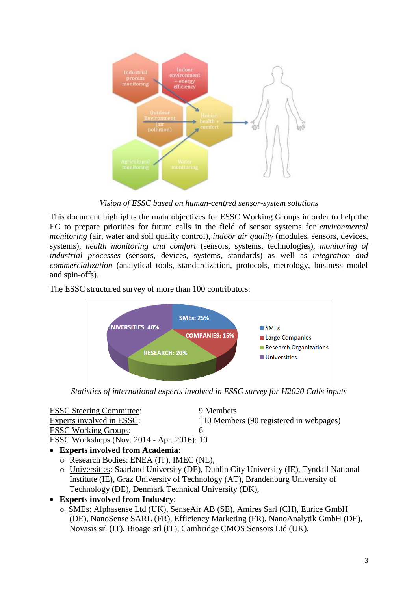

*Vision of ESSC based on human-centred sensor-system solutions*

This document highlights the main objectives for ESSC Working Groups in order to help the EC to prepare priorities for future calls in the field of sensor systems for *environmental monitoring* (air, water and soil quality control), *indoor air quality* (modules, sensors, devices, systems), *health monitoring and comfort* (sensors, systems, technologies), *monitoring of industrial processes* (sensors, devices, systems, standards) as well as *integration and commercialization* (analytical tools, standardization, protocols, metrology, business model and spin-offs).

The ESSC structured survey of more than 100 contributors:



*Statistics of international experts involved in ESSC survey for H2020 Calls inputs*

| <b>ESSC</b> Steering Committee:                   | 9 Members                               |
|---------------------------------------------------|-----------------------------------------|
| Experts involved in ESSC:                         | 110 Members (90 registered in webpages) |
| <b>ESSC Working Groups:</b>                       |                                         |
| <b>ESSC Workshops (Nov. 2014 - Apr. 2016): 10</b> |                                         |

**Experts involved from Academia**:

- o Research Bodies: ENEA (IT), IMEC (NL),
- o Universities: Saarland University (DE), Dublin City University (IE), Tyndall National Institute (IE), Graz University of Technology (AT), Brandenburg University of Technology (DE), Denmark Technical University (DK),
- **Experts involved from Industry**:
	- o SMEs: Alphasense Ltd (UK), SenseAir AB (SE), Amires Sarl (CH), Eurice GmbH (DE), NanoSense SARL (FR), Efficiency Marketing (FR), NanoAnalytik GmbH (DE), Novasis srl (IT), Bioage srl (IT), Cambridge CMOS Sensors Ltd (UK),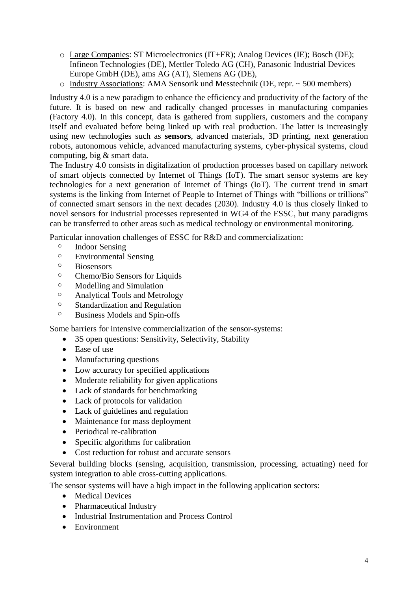- o Large Companies: ST Microelectronics (IT+FR); Analog Devices (IE); Bosch (DE); Infineon Technologies (DE), Mettler Toledo AG (CH), Panasonic Industrial Devices Europe GmbH (DE), ams AG (AT), Siemens AG (DE),
- o Industry Associations: AMA Sensorik und Messtechnik (DE, repr. ~ 500 members)

Industry 4.0 is a new paradigm to enhance the efficiency and productivity of the factory of the future. It is based on new and radically changed processes in manufacturing companies (Factory 4.0). In this concept, data is gathered from suppliers, customers and the company itself and evaluated before being linked up with real production. The latter is increasingly using new technologies such as **sensors**, advanced materials, 3D printing, next generation robots, autonomous vehicle, advanced manufacturing systems, cyber-physical systems, cloud computing, big & smart data.

The Industry 4.0 consists in digitalization of production processes based on capillary network of smart objects connected by Internet of Things (IoT). The smart sensor systems are key technologies for a next generation of Internet of Things (IoT). The current trend in smart systems is the linking from Internet of People to Internet of Things with "billions or trillions" of connected smart sensors in the next decades (2030). Industry 4.0 is thus closely linked to novel sensors for industrial processes represented in WG4 of the ESSC, but many paradigms can be transferred to other areas such as medical technology or environmental monitoring.

Particular innovation challenges of ESSC for R&D and commercialization:

- o Indoor Sensing
- o Environmental Sensing
- o Biosensors
- o Chemo/Bio Sensors for Liquids
- o Modelling and Simulation
- o Analytical Tools and Metrology
- o Standardization and Regulation
- o Business Models and Spin-offs

Some barriers for intensive commercialization of the sensor-systems:

- 3S open questions: Sensitivity, Selectivity, Stability
- Ease of use
- Manufacturing questions
- Low accuracy for specified applications
- Moderate reliability for given applications
- Lack of standards for benchmarking
- Lack of protocols for validation
- Lack of guidelines and regulation
- Maintenance for mass deployment
- Periodical re-calibration
- Specific algorithms for calibration
- Cost reduction for robust and accurate sensors

Several building blocks (sensing, acquisition, transmission, processing, actuating) need for system integration to able cross-cutting applications.

The sensor systems will have a high impact in the following application sectors:

- Medical Devices
- Pharmaceutical Industry
- Industrial Instrumentation and Process Control
- **Environment**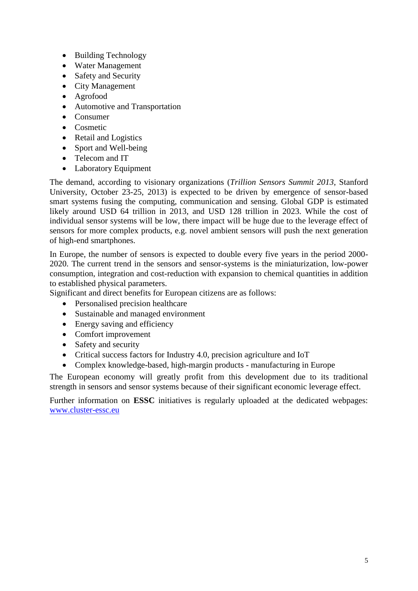- Building Technology
- Water Management
- Safety and Security
- City Management
- Agrofood
- Automotive and Transportation
- Consumer
- Cosmetic
- Retail and Logistics
- Sport and Well-being
- Telecom and IT
- Laboratory Equipment

The demand, according to visionary organizations (*Trillion Sensors Summit 2013*, Stanford University, October 23-25, 2013) is expected to be driven by emergence of sensor-based smart systems fusing the computing, communication and sensing. Global GDP is estimated likely around USD 64 trillion in 2013, and USD 128 trillion in 2023. While the cost of individual sensor systems will be low, there impact will be huge due to the leverage effect of sensors for more complex products, e.g. novel ambient sensors will push the next generation of high-end smartphones.

In Europe, the number of sensors is expected to double every five years in the period 2000- 2020. The current trend in the sensors and sensor-systems is the miniaturization, low-power consumption, integration and cost-reduction with expansion to chemical quantities in addition to established physical parameters.

Significant and direct benefits for European citizens are as follows:

- Personalised precision healthcare
- Sustainable and managed environment
- Energy saving and efficiency
- Comfort improvement
- Safety and security
- Critical success factors for Industry 4.0, precision agriculture and IoT
- Complex knowledge-based, high-margin products manufacturing in Europe

The European economy will greatly profit from this development due to its traditional strength in sensors and sensor systems because of their significant economic leverage effect.

Further information on **ESSC** initiatives is regularly uploaded at the dedicated webpages: [www.cluster-essc.eu](http://www.cluster-essc.eu/)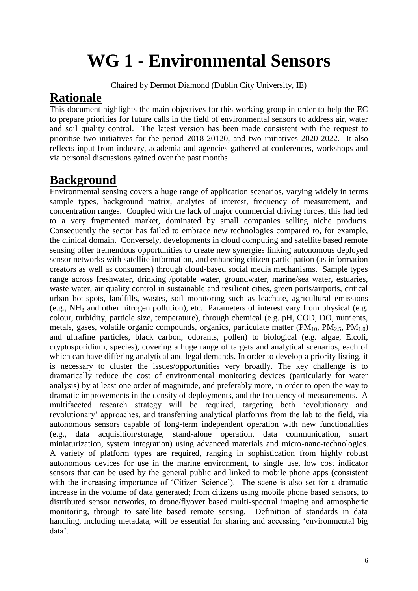# **WG 1 - Environmental Sensors**

Chaired by Dermot Diamond (Dublin City University, IE)

### **Rationale**

This document highlights the main objectives for this working group in order to help the EC to prepare priorities for future calls in the field of environmental sensors to address air, water and soil quality control. The latest version has been made consistent with the request to prioritise two initiatives for the period 2018-20120, and two initiatives 2020-2022. It also reflects input from industry, academia and agencies gathered at conferences, workshops and via personal discussions gained over the past months.

## **Background**

Environmental sensing covers a huge range of application scenarios, varying widely in terms sample types, background matrix, analytes of interest, frequency of measurement, and concentration ranges. Coupled with the lack of major commercial driving forces, this had led to a very fragmented market, dominated by small companies selling niche products. Consequently the sector has failed to embrace new technologies compared to, for example, the clinical domain. Conversely, developments in cloud computing and satellite based remote sensing offer tremendous opportunities to create new synergies linking autonomous deployed sensor networks with satellite information, and enhancing citizen participation (as information creators as well as consumers) through cloud-based social media mechanisms. Sample types range across freshwater, drinking /potable water, groundwater, marine/sea water, estuaries, waste water, air quality control in sustainable and resilient cities, green ports/airports, critical urban hot-spots, landfills, wastes, soil monitoring such as leachate, agricultural emissions (e.g.,  $NH<sub>3</sub>$  and other nitrogen pollution), etc. Parameters of interest vary from physical (e.g. colour, turbidity, particle size, temperature), through chemical (e.g. pH, COD, DO, nutrients, metals, gases, volatile organic compounds, organics, particulate matter ( $PM_{10}$ ,  $PM_{2.5}$ ,  $PM_{1.0}$ ) and ultrafine particles, black carbon, odorants, pollen) to biological (e.g. algae, E.coli, cryptosporidium, species), covering a huge range of targets and analytical scenarios, each of which can have differing analytical and legal demands. In order to develop a priority listing, it is necessary to cluster the issues/opportunities very broadly. The key challenge is to dramatically reduce the cost of environmental monitoring devices (particularly for water analysis) by at least one order of magnitude, and preferably more, in order to open the way to dramatic improvements in the density of deployments, and the frequency of measurements. A multifaceted research strategy will be required, targeting both 'evolutionary and revolutionary' approaches, and transferring analytical platforms from the lab to the field, via autonomous sensors capable of long-term independent operation with new functionalities (e.g., data acquisition/storage, stand-alone operation, data communication, smart miniaturization, system integration) using advanced materials and micro-nano-technologies. A variety of platform types are required, ranging in sophistication from highly robust autonomous devices for use in the marine environment, to single use, low cost indicator sensors that can be used by the general public and linked to mobile phone apps (consistent with the increasing importance of 'Citizen Science'). The scene is also set for a dramatic increase in the volume of data generated; from citizens using mobile phone based sensors, to distributed sensor networks, to drone/flyover based multi-spectral imaging and atmospheric monitoring, through to satellite based remote sensing. Definition of standards in data handling, including metadata, will be essential for sharing and accessing 'environmental big data'.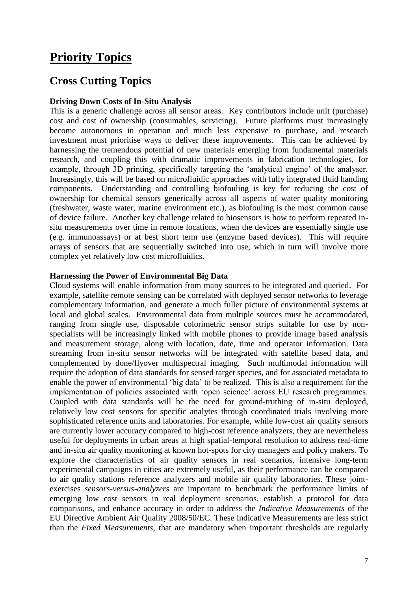### **Priority Topics**

### **Cross Cutting Topics**

#### **Driving Down Costs of In-Situ Analysis**

This is a generic challenge across all sensor areas. Key contributors include unit (purchase) cost and cost of ownership (consumables, servicing). Future platforms must increasingly become autonomous in operation and much less expensive to purchase, and research investment must prioritise ways to deliver these improvements. This can be achieved by harnessing the tremendous potential of new materials emerging from fundamental materials research, and coupling this with dramatic improvements in fabrication technologies, for example, through 3D printing, specifically targeting the 'analytical engine' of the analyser. Increasingly, this will be based on microfluidic approaches with fully integrated fluid handing components. Understanding and controlling biofouling is key for reducing the cost of ownership for chemical sensors generically across all aspects of water quality monitoring (freshwater, waste water, marine environment etc.), as biofouling is the most common cause of device failure. Another key challenge related to biosensors is how to perform repeated insitu measurements over time in remote locations, when the devices are essentially single use (e.g. immunoassays) or at best short term use (enzyme based devices). This will require arrays of sensors that are sequentially switched into use, which in turn will involve more complex yet relatively low cost microfluidics.

#### **Harnessing the Power of Environmental Big Data**

Cloud systems will enable information from many sources to be integrated and queried. For example, satellite remote sensing can be correlated with deployed sensor networks to leverage complementary information, and generate a much fuller picture of environmental systems at local and global scales. Environmental data from multiple sources must be accommodated, ranging from single use, disposable colorimetric sensor strips suitable for use by nonspecialists will be increasingly linked with mobile phones to provide image based analysis and measurement storage, along with location, date, time and operator information. Data streaming from in-situ sensor networks will be integrated with satellite based data, and complemented by done/flyover multispectral imaging. Such multimodal information will require the adoption of data standards for sensed target species, and for associated metadata to enable the power of environmental 'big data' to be realized. This is also a requirement for the implementation of policies associated with 'open science' across EU research programmes. Coupled with data standards will be the need for ground-truthing of in-situ deployed, relatively low cost sensors for specific analytes through coordinated trials involving more sophisticated reference units and laboratories. For example, while low-cost air quality sensors are currently lower accuracy compared to high-cost reference analyzers, they are nevertheless useful for deployments in urban areas at high spatial-temporal resolution to address real-time and in-situ air quality monitoring at known hot-spots for city managers and policy makers. To explore the characteristics of air quality sensors in real scenarios, intensive long-term experimental campaigns in cities are extremely useful, as their performance can be compared to air quality stations reference analyzers and mobile air quality laboratories. These jointexercises *sensors-versus-analyzers* are important to benchmark the performance limits of emerging low cost sensors in real deployment scenarios, establish a protocol for data comparisons, and enhance accuracy in order to address the *Indicative Measurements* of the EU Directive Ambient Air Quality 2008/50/EC. These Indicative Measurements are less strict than the *Fixed Measurements*, that are mandatory when important thresholds are regularly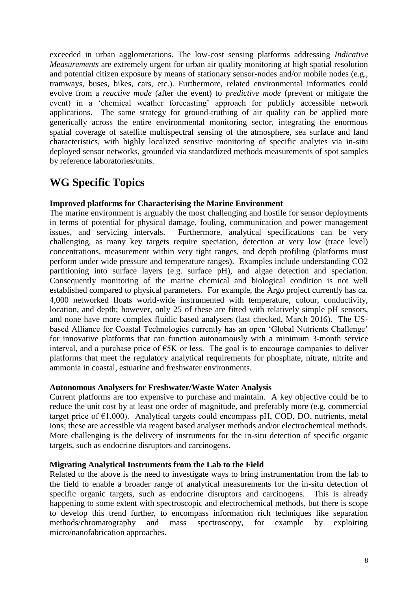exceeded in urban agglomerations. The low-cost sensing platforms addressing *Indicative Measurements* are extremely urgent for urban air quality monitoring at high spatial resolution and potential citizen exposure by means of stationary sensor-nodes and/or mobile nodes (e.g., tramways, buses, bikes, cars, etc.). Furthermore, related environmental informatics could evolve from a *reactive mode* (after the event) to *predictive mode* (prevent or mitigate the event) in a 'chemical weather forecasting' approach for publicly accessible network applications. The same strategy for ground-truthing of air quality can be applied more generically across the entire environmental monitoring sector, integrating the enormous spatial coverage of satellite multispectral sensing of the atmosphere, sea surface and land characteristics, with highly localized sensitive monitoring of specific analytes via in-situ deployed sensor networks, grounded via standardized methods measurements of spot samples by reference laboratories/units.

### **WG Specific Topics**

### **Improved platforms for Characterising the Marine Environment**

The marine environment is arguably the most challenging and hostile for sensor deployments in terms of potential for physical damage, fouling, communication and power management issues, and servicing intervals. Furthermore, analytical specifications can be very challenging, as many key targets require speciation, detection at very low (trace level) concentrations, measurement within very tight ranges, and depth profiling (platforms must perform under wide pressure and temperature ranges). Examples include understanding CO2 partitioning into surface layers (e.g. surface pH), and algae detection and speciation. Consequently monitoring of the marine chemical and biological condition is not well established compared to physical parameters. For example, the Argo project currently has ca. 4,000 networked floats world-wide instrumented with temperature, colour, conductivity, location, and depth; however, only 25 of these are fitted with relatively simple pH sensors, and none have more complex fluidic based analysers (last checked, March 2016). The USbased Alliance for Coastal Technologies currently has an open 'Global Nutrients Challenge' for innovative platforms that can function autonomously with a minimum 3-month service interval, and a purchase price of  $\epsilon$ 5K or less. The goal is to encourage companies to deliver platforms that meet the regulatory analytical requirements for phosphate, nitrate, nitrite and ammonia in coastal, estuarine and freshwater environments.

#### **Autonomous Analysers for Freshwater/Waste Water Analysis**

Current platforms are too expensive to purchase and maintain. A key objective could be to reduce the unit cost by at least one order of magnitude, and preferably more (e.g. commercial target price of  $\epsilon$ 1,000). Analytical targets could encompass pH, COD, DO, nutrients, metal ions; these are accessible via reagent based analyser methods and/or electrochemical methods. More challenging is the delivery of instruments for the in-situ detection of specific organic targets, such as endocrine disruptors and carcinogens.

#### **Migrating Analytical Instruments from the Lab to the Field**

Related to the above is the need to investigate ways to bring instrumentation from the lab to the field to enable a broader range of analytical measurements for the in-situ detection of specific organic targets, such as endocrine disruptors and carcinogens. This is already happening to some extent with spectroscopic and electrochemical methods, but there is scope to develop this trend further, to encompass information rich techniques like separation methods/chromatography and mass spectroscopy, for example by exploiting micro/nanofabrication approaches.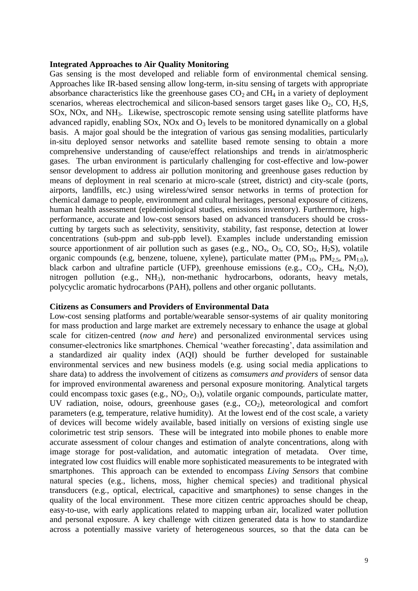#### **Integrated Approaches to Air Quality Monitoring**

Gas sensing is the most developed and reliable form of environmental chemical sensing. Approaches like IR-based sensing allow long-term, in-situ sensing of targets with appropriate absorbance characteristics like the greenhouse gases  $CO<sub>2</sub>$  and  $CH<sub>4</sub>$  in a variety of deployment scenarios, whereas electrochemical and silicon-based sensors target gases like  $O_2$ , CO, H<sub>2</sub>S, SOx, NOx, and NH3. Likewise, spectroscopic remote sensing using satellite platforms have advanced rapidly, enabling  $SOX$ ,  $NOx$  and  $O<sub>3</sub>$  levels to be monitored dynamically on a global basis. A major goal should be the integration of various gas sensing modalities, particularly in-situ deployed sensor networks and satellite based remote sensing to obtain a more comprehensive understanding of cause/effect relationships and trends in air/atmospheric gases. The urban environment is particularly challenging for cost-effective and low-power sensor development to address air pollution monitoring and greenhouse gases reduction by means of deployment in real scenario at micro-scale (street, district) and city-scale (ports, airports, landfills, etc.) using wireless/wired sensor networks in terms of protection for chemical damage to people, environment and cultural heritages, personal exposure of citizens, human health assessment (epidemiological studies, emissions inventory). Furthermore, highperformance, accurate and low-cost sensors based on advanced transducers should be crosscutting by targets such as selectivity, sensitivity, stability, fast response, detection at lower concentrations (sub-ppm and sub-ppb level). Examples include understanding emission source apportionment of air pollution such as gases (e.g.,  $NO<sub>x</sub>$ ,  $O<sub>3</sub>$ ,  $CO$ ,  $SO<sub>2</sub>$ ,  $H<sub>2</sub>S$ ), volatile organic compounds (e.g, benzene, toluene, xylene), particulate matter (PM<sub>10</sub>, PM<sub>2.5</sub>, PM<sub>1.0</sub>), black carbon and ultrafine particle (UFP), greenhouse emissions (e.g.,  $CO_2$ ,  $CH_4$ , N<sub>2</sub>O), nitrogen pollution (e.g., NH3), non-methanic hydrocarbons, odorants, heavy metals, polycyclic aromatic hydrocarbons (PAH), pollens and other organic pollutants.

#### **Citizens as Consumers and Providers of Environmental Data**

Low-cost sensing platforms and portable/wearable sensor-systems of air quality monitoring for mass production and large market are extremely necessary to enhance the usage at global scale for citizen-centred (*now and here*) and personalized environmental services using consumer-electronics like smartphones. Chemical 'weather forecasting', data assimilation and a standardized air quality index (AQI) should be further developed for sustainable environmental services and new business models (e.g. using social media applications to share data) to address the involvement of citizens as *comsumers and providers* of sensor data for improved environmental awareness and personal exposure monitoring. Analytical targets could encompass toxic gases (e.g.,  $NO_2$ ,  $O_3$ ), volatile organic compounds, particulate matter, UV radiation, noise, odours, greenhouse gases (e.g.,  $CO<sub>2</sub>$ ), meteorological and comfort parameters (e.g, temperature, relative humidity). At the lowest end of the cost scale, a variety of devices will become widely available, based initially on versions of existing single use colorimetric test strip sensors. These will be integrated into mobile phones to enable more accurate assessment of colour changes and estimation of analyte concentrations, along with image storage for post-validation, and automatic integration of metadata. Over time, integrated low cost fluidics will enable more sophisticated measurements to be integrated with smartphones. This approach can be extended to encompass *Living Sensors* that combine natural species (e.g., lichens, moss, higher chemical species) and traditional physical transducers (e.g., optical, electrical, capacitive and smartphones) to sense changes in the quality of the local environment. These more citizen centric approaches should be cheap, easy-to-use, with early applications related to mapping urban air, localized water pollution and personal exposure. A key challenge with citizen generated data is how to standardize across a potentially massive variety of heterogeneous sources, so that the data can be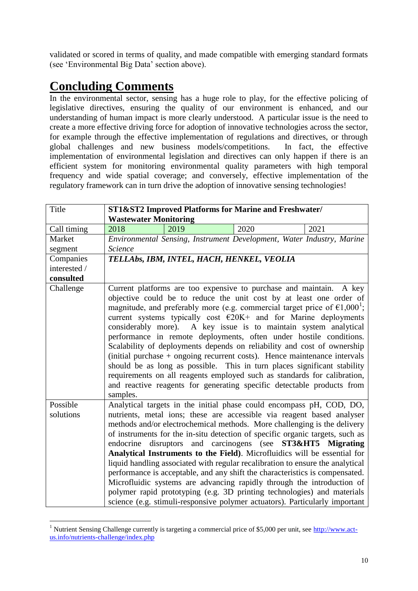validated or scored in terms of quality, and made compatible with emerging standard formats (see 'Environmental Big Data' section above).

## **Concluding Comments**

<u>.</u>

In the environmental sector, sensing has a huge role to play, for the effective policing of legislative directives, ensuring the quality of our environment is enhanced, and our understanding of human impact is more clearly understood. A particular issue is the need to create a more effective driving force for adoption of innovative technologies across the sector, for example through the effective implementation of regulations and directives, or through global challenges and new business models/competitions. In fact, the effective implementation of environmental legislation and directives can only happen if there is an efficient system for monitoring environmental quality parameters with high temporal frequency and wide spatial coverage; and conversely, effective implementation of the regulatory framework can in turn drive the adoption of innovative sensing technologies!

| Title        | <b>Wastewater Monitoring</b> |                                           | ST1&ST2 Improved Platforms for Marine and Freshwater/                                                                                                                                                                                                                                                                                                                                                                                                                                                                                                                                                                                                                                                                                                                                                                                                 |      |
|--------------|------------------------------|-------------------------------------------|-------------------------------------------------------------------------------------------------------------------------------------------------------------------------------------------------------------------------------------------------------------------------------------------------------------------------------------------------------------------------------------------------------------------------------------------------------------------------------------------------------------------------------------------------------------------------------------------------------------------------------------------------------------------------------------------------------------------------------------------------------------------------------------------------------------------------------------------------------|------|
| Call timing  | 2018                         | 2019                                      | 2020                                                                                                                                                                                                                                                                                                                                                                                                                                                                                                                                                                                                                                                                                                                                                                                                                                                  | 2021 |
| Market       |                              |                                           | Environmental Sensing, Instrument Development, Water Industry, Marine                                                                                                                                                                                                                                                                                                                                                                                                                                                                                                                                                                                                                                                                                                                                                                                 |      |
| segment      | Science                      |                                           |                                                                                                                                                                                                                                                                                                                                                                                                                                                                                                                                                                                                                                                                                                                                                                                                                                                       |      |
| Companies    |                              | TELLAbs, IBM, INTEL, HACH, HENKEL, VEOLIA |                                                                                                                                                                                                                                                                                                                                                                                                                                                                                                                                                                                                                                                                                                                                                                                                                                                       |      |
| interested / |                              |                                           |                                                                                                                                                                                                                                                                                                                                                                                                                                                                                                                                                                                                                                                                                                                                                                                                                                                       |      |
| consulted    |                              |                                           |                                                                                                                                                                                                                                                                                                                                                                                                                                                                                                                                                                                                                                                                                                                                                                                                                                                       |      |
| Challenge    | samples.                     |                                           | Current platforms are too expensive to purchase and maintain. A key<br>objective could be to reduce the unit cost by at least one order of<br>magnitude, and preferably more (e.g. commercial target price of $\epsilon 1,000^1$ ;<br>current systems typically cost $\epsilon$ 20K+ and for Marine deployments<br>considerably more). A key issue is to maintain system analytical<br>performance in remote deployments, often under hostile conditions.<br>Scalability of deployments depends on reliability and cost of ownership<br>(initial purchase $+$ ongoing recurrent costs). Hence maintenance intervals<br>should be as long as possible. This in turn places significant stability<br>requirements on all reagents employed such as standards for calibration,<br>and reactive reagents for generating specific detectable products from |      |
| Possible     |                              |                                           | Analytical targets in the initial phase could encompass pH, COD, DO,                                                                                                                                                                                                                                                                                                                                                                                                                                                                                                                                                                                                                                                                                                                                                                                  |      |
| solutions    |                              |                                           | nutrients, metal ions; these are accessible via reagent based analyser<br>methods and/or electrochemical methods. More challenging is the delivery                                                                                                                                                                                                                                                                                                                                                                                                                                                                                                                                                                                                                                                                                                    |      |
|              |                              |                                           | of instruments for the in-situ detection of specific organic targets, such as                                                                                                                                                                                                                                                                                                                                                                                                                                                                                                                                                                                                                                                                                                                                                                         |      |
|              |                              |                                           | endocrine disruptors and carcinogens (see ST3&HT5 Migrating                                                                                                                                                                                                                                                                                                                                                                                                                                                                                                                                                                                                                                                                                                                                                                                           |      |
|              |                              |                                           | Analytical Instruments to the Field). Microfluidics will be essential for                                                                                                                                                                                                                                                                                                                                                                                                                                                                                                                                                                                                                                                                                                                                                                             |      |
|              |                              |                                           | liquid handling associated with regular recalibration to ensure the analytical                                                                                                                                                                                                                                                                                                                                                                                                                                                                                                                                                                                                                                                                                                                                                                        |      |
|              |                              |                                           | performance is acceptable, and any shift the characteristics is compensated.                                                                                                                                                                                                                                                                                                                                                                                                                                                                                                                                                                                                                                                                                                                                                                          |      |
|              |                              |                                           | Microfluidic systems are advancing rapidly through the introduction of                                                                                                                                                                                                                                                                                                                                                                                                                                                                                                                                                                                                                                                                                                                                                                                |      |
|              |                              |                                           | polymer rapid prototyping (e.g. 3D printing technologies) and materials                                                                                                                                                                                                                                                                                                                                                                                                                                                                                                                                                                                                                                                                                                                                                                               |      |
|              |                              |                                           | science (e.g. stimuli-responsive polymer actuators). Particularly important                                                                                                                                                                                                                                                                                                                                                                                                                                                                                                                                                                                                                                                                                                                                                                           |      |

<sup>&</sup>lt;sup>1</sup> Nutrient Sensing Challenge currently is targeting a commercial price of \$5,000 per unit, see [http://www.act](http://www.act-us.info/nutrients-challenge/index.php)[us.info/nutrients-challenge/index.php](http://www.act-us.info/nutrients-challenge/index.php)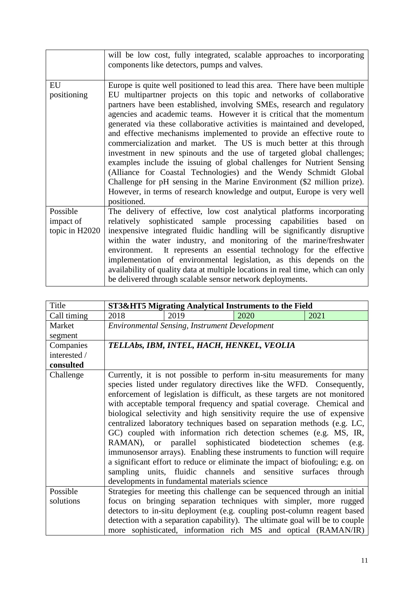|                                         | will be low cost, fully integrated, scalable approaches to incorporating<br>components like detectors, pumps and valves.                                                                                                                                                                                                                                                                                                                                                                                                                                                                                                                                                                                                                                                                                                                                                                                                         |
|-----------------------------------------|----------------------------------------------------------------------------------------------------------------------------------------------------------------------------------------------------------------------------------------------------------------------------------------------------------------------------------------------------------------------------------------------------------------------------------------------------------------------------------------------------------------------------------------------------------------------------------------------------------------------------------------------------------------------------------------------------------------------------------------------------------------------------------------------------------------------------------------------------------------------------------------------------------------------------------|
| EU<br>positioning                       | Europe is quite well positioned to lead this area. There have been multiple<br>EU multipartner projects on this topic and networks of collaborative<br>partners have been established, involving SMEs, research and regulatory<br>agencies and academic teams. However it is critical that the momentum<br>generated via these collaborative activities is maintained and developed,<br>and effective mechanisms implemented to provide an effective route to<br>commercialization and market. The US is much better at this through<br>investment in new spinouts and the use of targeted global challenges;<br>examples include the issuing of global challenges for Nutrient Sensing<br>(Alliance for Coastal Technologies) and the Wendy Schmidt Global<br>Challenge for pH sensing in the Marine Environment (\$2 million prize).<br>However, in terms of research knowledge and output, Europe is very well<br>positioned. |
| Possible<br>impact of<br>topic in H2020 | The delivery of effective, low cost analytical platforms incorporating<br>relatively sophisticated sample processing capabilities based on<br>inexpensive integrated fluidic handling will be significantly disruptive<br>within the water industry, and monitoring of the marine/freshwater<br>environment. It represents an essential technology for the effective<br>implementation of environmental legislation, as this depends on the<br>availability of quality data at multiple locations in real time, which can only<br>be delivered through scalable sensor network deployments.                                                                                                                                                                                                                                                                                                                                      |

| Title        | ST3&HT5 Migrating Analytical Instruments to the Field                                                                                                                                                                                                                                                                                                                                                                                                                                                                                                                                                                                                                                                                                                                                                                                                                                     |
|--------------|-------------------------------------------------------------------------------------------------------------------------------------------------------------------------------------------------------------------------------------------------------------------------------------------------------------------------------------------------------------------------------------------------------------------------------------------------------------------------------------------------------------------------------------------------------------------------------------------------------------------------------------------------------------------------------------------------------------------------------------------------------------------------------------------------------------------------------------------------------------------------------------------|
| Call timing  | 2018<br>2019<br>2020<br>2021                                                                                                                                                                                                                                                                                                                                                                                                                                                                                                                                                                                                                                                                                                                                                                                                                                                              |
| Market       | <b>Environmental Sensing, Instrument Development</b>                                                                                                                                                                                                                                                                                                                                                                                                                                                                                                                                                                                                                                                                                                                                                                                                                                      |
| segment      |                                                                                                                                                                                                                                                                                                                                                                                                                                                                                                                                                                                                                                                                                                                                                                                                                                                                                           |
| Companies    | TELLAbs, IBM, INTEL, HACH, HENKEL, VEOLIA                                                                                                                                                                                                                                                                                                                                                                                                                                                                                                                                                                                                                                                                                                                                                                                                                                                 |
| interested / |                                                                                                                                                                                                                                                                                                                                                                                                                                                                                                                                                                                                                                                                                                                                                                                                                                                                                           |
| consulted    |                                                                                                                                                                                                                                                                                                                                                                                                                                                                                                                                                                                                                                                                                                                                                                                                                                                                                           |
| Challenge    | Currently, it is not possible to perform in-situ measurements for many<br>species listed under regulatory directives like the WFD. Consequently,<br>enforcement of legislation is difficult, as these targets are not monitored<br>with acceptable temporal frequency and spatial coverage. Chemical and<br>biological selectivity and high sensitivity require the use of expensive<br>centralized laboratory techniques based on separation methods (e.g. LC,<br>GC) coupled with information rich detection schemes (e.g. MS, IR,<br>RAMAN), or parallel sophisticated biodetection schemes (e.g.<br>immunosensor arrays). Enabling these instruments to function will require<br>a significant effort to reduce or eliminate the impact of biofouling; e.g. on<br>sampling units, fluidic channels and sensitive surfaces<br>through<br>developments in fundamental materials science |
| Possible     | Strategies for meeting this challenge can be sequenced through an initial                                                                                                                                                                                                                                                                                                                                                                                                                                                                                                                                                                                                                                                                                                                                                                                                                 |
| solutions    | focus on bringing separation techniques with simpler, more rugged                                                                                                                                                                                                                                                                                                                                                                                                                                                                                                                                                                                                                                                                                                                                                                                                                         |
|              | detectors to in-situ deployment (e.g. coupling post-column reagent based                                                                                                                                                                                                                                                                                                                                                                                                                                                                                                                                                                                                                                                                                                                                                                                                                  |
|              | detection with a separation capability). The ultimate goal will be to couple                                                                                                                                                                                                                                                                                                                                                                                                                                                                                                                                                                                                                                                                                                                                                                                                              |
|              | more sophisticated, information rich MS and optical (RAMAN/IR)                                                                                                                                                                                                                                                                                                                                                                                                                                                                                                                                                                                                                                                                                                                                                                                                                            |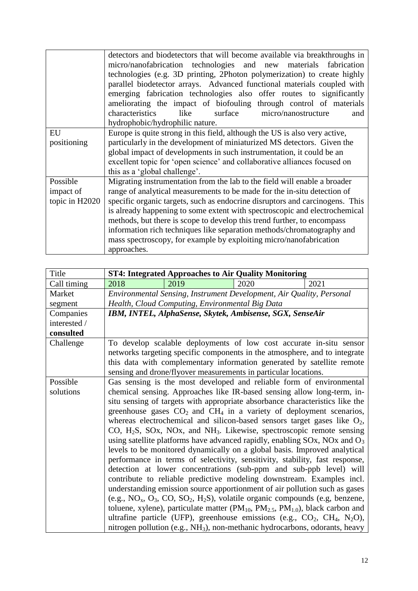|                | detectors and biodetectors that will become available via breakthroughs in<br>micro/nanofabrication technologies and new materials fabrication<br>technologies (e.g. 3D printing, 2Photon polymerization) to create highly<br>parallel biodetector arrays. Advanced functional materials coupled with<br>emerging fabrication technologies also offer routes to significantly<br>ameliorating the impact of biofouling through control of materials |
|----------------|-----------------------------------------------------------------------------------------------------------------------------------------------------------------------------------------------------------------------------------------------------------------------------------------------------------------------------------------------------------------------------------------------------------------------------------------------------|
|                | like<br>surface<br>micro/nanostructure<br>characteristics<br>and                                                                                                                                                                                                                                                                                                                                                                                    |
|                | hydrophobic/hydrophilic nature.                                                                                                                                                                                                                                                                                                                                                                                                                     |
| EU             | Europe is quite strong in this field, although the US is also very active,                                                                                                                                                                                                                                                                                                                                                                          |
| positioning    | particularly in the development of miniaturized MS detectors. Given the                                                                                                                                                                                                                                                                                                                                                                             |
|                | global impact of developments in such instrumentation, it could be an                                                                                                                                                                                                                                                                                                                                                                               |
|                | excellent topic for 'open science' and collaborative alliances focused on                                                                                                                                                                                                                                                                                                                                                                           |
|                | this as a 'global challenge'.                                                                                                                                                                                                                                                                                                                                                                                                                       |
| Possible       | Migrating instrumentation from the lab to the field will enable a broader                                                                                                                                                                                                                                                                                                                                                                           |
| impact of      | range of analytical measurements to be made for the in-situ detection of                                                                                                                                                                                                                                                                                                                                                                            |
| topic in H2020 | specific organic targets, such as endocrine disruptors and carcinogens. This                                                                                                                                                                                                                                                                                                                                                                        |
|                | is already happening to some extent with spectroscopic and electrochemical                                                                                                                                                                                                                                                                                                                                                                          |
|                | methods, but there is scope to develop this trend further, to encompass                                                                                                                                                                                                                                                                                                                                                                             |
|                | information rich techniques like separation methods/chromatography and                                                                                                                                                                                                                                                                                                                                                                              |
|                | mass spectroscopy, for example by exploiting micro/nanofabrication                                                                                                                                                                                                                                                                                                                                                                                  |
|                | approaches.                                                                                                                                                                                                                                                                                                                                                                                                                                         |

| Title        |                                                                                                                                                                    |                                                 | <b>ST4: Integrated Approaches to Air Quality Monitoring</b>                                                                                 |      |
|--------------|--------------------------------------------------------------------------------------------------------------------------------------------------------------------|-------------------------------------------------|---------------------------------------------------------------------------------------------------------------------------------------------|------|
| Call timing  | 2018                                                                                                                                                               | 2019                                            | 2020                                                                                                                                        | 2021 |
| Market       |                                                                                                                                                                    |                                                 | Environmental Sensing, Instrument Development, Air Quality, Personal                                                                        |      |
| segment      |                                                                                                                                                                    | Health, Cloud Computing, Environmental Big Data |                                                                                                                                             |      |
| Companies    |                                                                                                                                                                    |                                                 | IBM, INTEL, AlphaSense, Skytek, Ambisense, SGX, SenseAir                                                                                    |      |
| interested / |                                                                                                                                                                    |                                                 |                                                                                                                                             |      |
| consulted    |                                                                                                                                                                    |                                                 |                                                                                                                                             |      |
| Challenge    |                                                                                                                                                                    |                                                 | To develop scalable deployments of low cost accurate in-situ sensor                                                                         |      |
|              |                                                                                                                                                                    |                                                 | networks targeting specific components in the atmosphere, and to integrate                                                                  |      |
|              |                                                                                                                                                                    |                                                 | this data with complementary information generated by satellite remote                                                                      |      |
|              |                                                                                                                                                                    |                                                 | sensing and drone/flyover measurements in particular locations.                                                                             |      |
| Possible     |                                                                                                                                                                    |                                                 | Gas sensing is the most developed and reliable form of environmental                                                                        |      |
| solutions    | chemical sensing. Approaches like IR-based sensing allow long-term, in-                                                                                            |                                                 |                                                                                                                                             |      |
|              |                                                                                                                                                                    |                                                 | situ sensing of targets with appropriate absorbance characteristics like the                                                                |      |
|              | greenhouse gases $CO2$ and $CH4$ in a variety of deployment scenarios,                                                                                             |                                                 |                                                                                                                                             |      |
|              | whereas electrochemical and silicon-based sensors target gases like $O_2$ ,<br>CO, $H_2S$ , SOx, NOx, and NH <sub>3</sub> . Likewise, spectroscopic remote sensing |                                                 |                                                                                                                                             |      |
|              |                                                                                                                                                                    |                                                 |                                                                                                                                             |      |
|              |                                                                                                                                                                    |                                                 | using satellite platforms have advanced rapidly, enabling $SOx$ , NOx and $O_3$                                                             |      |
|              |                                                                                                                                                                    |                                                 | levels to be monitored dynamically on a global basis. Improved analytical                                                                   |      |
|              |                                                                                                                                                                    |                                                 | performance in terms of selectivity, sensitivity, stability, fast response,                                                                 |      |
|              |                                                                                                                                                                    |                                                 | detection at lower concentrations (sub-ppm and sub-ppb level) will<br>contribute to reliable predictive modeling downstream. Examples incl. |      |
|              |                                                                                                                                                                    |                                                 | understanding emission source apportionment of air pollution such as gases                                                                  |      |
|              |                                                                                                                                                                    |                                                 | (e.g., $NO_x$ , $O_3$ , $CO$ , $SO_2$ , $H_2S$ ), volatile organic compounds (e.g., benzene,                                                |      |
|              |                                                                                                                                                                    |                                                 | toluene, xylene), particulate matter ( $PM_{10}$ , $PM_{2.5}$ , $PM_{1.0}$ ), black carbon and                                              |      |
|              |                                                                                                                                                                    |                                                 | ultrafine particle (UFP), greenhouse emissions (e.g., $CO_2$ , $CH_4$ , $N_2O$ ),                                                           |      |
|              |                                                                                                                                                                    |                                                 | nitrogen pollution (e.g., NH <sub>3</sub> ), non-methanic hydrocarbons, odorants, heavy                                                     |      |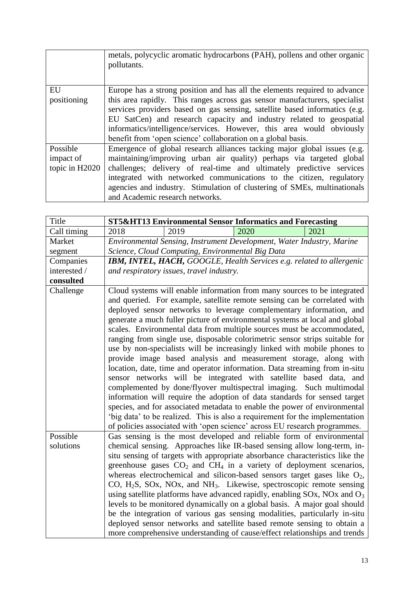|                | metals, polycyclic aromatic hydrocarbons (PAH), pollens and other organic<br>pollutants. |
|----------------|------------------------------------------------------------------------------------------|
| EU             | Europe has a strong position and has all the elements required to advance                |
| positioning    | this area rapidly. This ranges across gas sensor manufacturers, specialist               |
|                | services providers based on gas sensing, satellite based informatics (e.g.               |
|                | EU SatCen) and research capacity and industry related to geospatial                      |
|                | informatics/intelligence/services. However, this area would obviously                    |
|                | benefit from 'open science' collaboration on a global basis.                             |
| Possible       | Emergence of global research alliances tacking major global issues (e.g.                 |
| impact of      | maintaining/improving urban air quality) perhaps via targeted global                     |
| topic in H2020 | challenges; delivery of real-time and ultimately predictive services                     |
|                | integrated with networked communications to the citizen, regulatory                      |
|                | agencies and industry. Stimulation of clustering of SMEs, multinationals                 |
|                | and Academic research networks.                                                          |

| Title        |                                          |      | <b>ST5&amp;HT13 Environmental Sensor Informatics and Forecasting</b> |                                                                                                                                                                                                                                                                                                                                                                                                                                                                                                                                                                                                                                                                                                                                                                                                                                                                                                                                                                                                                                                                                                                                                                       |
|--------------|------------------------------------------|------|----------------------------------------------------------------------|-----------------------------------------------------------------------------------------------------------------------------------------------------------------------------------------------------------------------------------------------------------------------------------------------------------------------------------------------------------------------------------------------------------------------------------------------------------------------------------------------------------------------------------------------------------------------------------------------------------------------------------------------------------------------------------------------------------------------------------------------------------------------------------------------------------------------------------------------------------------------------------------------------------------------------------------------------------------------------------------------------------------------------------------------------------------------------------------------------------------------------------------------------------------------|
| Call timing  | 2018                                     | 2019 | 2020                                                                 | 2021                                                                                                                                                                                                                                                                                                                                                                                                                                                                                                                                                                                                                                                                                                                                                                                                                                                                                                                                                                                                                                                                                                                                                                  |
| Market       |                                          |      |                                                                      | Environmental Sensing, Instrument Development, Water Industry, Marine                                                                                                                                                                                                                                                                                                                                                                                                                                                                                                                                                                                                                                                                                                                                                                                                                                                                                                                                                                                                                                                                                                 |
| segment      |                                          |      | Science, Cloud Computing, Environmental Big Data                     |                                                                                                                                                                                                                                                                                                                                                                                                                                                                                                                                                                                                                                                                                                                                                                                                                                                                                                                                                                                                                                                                                                                                                                       |
| Companies    |                                          |      |                                                                      | <b>IBM, INTEL, HACH, GOOGLE, Health Services e.g. related to allergenic</b>                                                                                                                                                                                                                                                                                                                                                                                                                                                                                                                                                                                                                                                                                                                                                                                                                                                                                                                                                                                                                                                                                           |
| interested / | and respiratory issues, travel industry. |      |                                                                      |                                                                                                                                                                                                                                                                                                                                                                                                                                                                                                                                                                                                                                                                                                                                                                                                                                                                                                                                                                                                                                                                                                                                                                       |
| consulted    |                                          |      |                                                                      |                                                                                                                                                                                                                                                                                                                                                                                                                                                                                                                                                                                                                                                                                                                                                                                                                                                                                                                                                                                                                                                                                                                                                                       |
| Challenge    |                                          |      |                                                                      | Cloud systems will enable information from many sources to be integrated<br>and queried. For example, satellite remote sensing can be correlated with<br>deployed sensor networks to leverage complementary information, and<br>generate a much fuller picture of environmental systems at local and global<br>scales. Environmental data from multiple sources must be accommodated,<br>ranging from single use, disposable colorimetric sensor strips suitable for<br>use by non-specialists will be increasingly linked with mobile phones to<br>provide image based analysis and measurement storage, along with<br>location, date, time and operator information. Data streaming from in-situ<br>sensor networks will be integrated with satellite based data, and<br>complemented by done/flyover multispectral imaging. Such multimodal<br>information will require the adoption of data standards for sensed target<br>species, and for associated metadata to enable the power of environmental<br>'big data' to be realized. This is also a requirement for the implementation<br>of policies associated with 'open science' across EU research programmes. |
| Possible     |                                          |      |                                                                      | Gas sensing is the most developed and reliable form of environmental                                                                                                                                                                                                                                                                                                                                                                                                                                                                                                                                                                                                                                                                                                                                                                                                                                                                                                                                                                                                                                                                                                  |
| solutions    |                                          |      |                                                                      | chemical sensing. Approaches like IR-based sensing allow long-term, in-                                                                                                                                                                                                                                                                                                                                                                                                                                                                                                                                                                                                                                                                                                                                                                                                                                                                                                                                                                                                                                                                                               |
|              |                                          |      |                                                                      | situ sensing of targets with appropriate absorbance characteristics like the                                                                                                                                                                                                                                                                                                                                                                                                                                                                                                                                                                                                                                                                                                                                                                                                                                                                                                                                                                                                                                                                                          |
|              |                                          |      |                                                                      | greenhouse gases $CO2$ and $CH4$ in a variety of deployment scenarios,                                                                                                                                                                                                                                                                                                                                                                                                                                                                                                                                                                                                                                                                                                                                                                                                                                                                                                                                                                                                                                                                                                |
|              |                                          |      |                                                                      | whereas electrochemical and silicon-based sensors target gases like $O_2$ ,                                                                                                                                                                                                                                                                                                                                                                                                                                                                                                                                                                                                                                                                                                                                                                                                                                                                                                                                                                                                                                                                                           |
|              |                                          |      |                                                                      | CO, H <sub>2</sub> S, SOx, NOx, and NH <sub>3</sub> . Likewise, spectroscopic remote sensing                                                                                                                                                                                                                                                                                                                                                                                                                                                                                                                                                                                                                                                                                                                                                                                                                                                                                                                                                                                                                                                                          |
|              |                                          |      |                                                                      | using satellite platforms have advanced rapidly, enabling $SOX$ , $NOx$ and $O3$                                                                                                                                                                                                                                                                                                                                                                                                                                                                                                                                                                                                                                                                                                                                                                                                                                                                                                                                                                                                                                                                                      |
|              |                                          |      |                                                                      | levels to be monitored dynamically on a global basis. A major goal should                                                                                                                                                                                                                                                                                                                                                                                                                                                                                                                                                                                                                                                                                                                                                                                                                                                                                                                                                                                                                                                                                             |
|              |                                          |      |                                                                      | be the integration of various gas sensing modalities, particularly in-situ                                                                                                                                                                                                                                                                                                                                                                                                                                                                                                                                                                                                                                                                                                                                                                                                                                                                                                                                                                                                                                                                                            |
|              |                                          |      |                                                                      | deployed sensor networks and satellite based remote sensing to obtain a<br>more comprehensive understanding of cause/effect relationships and trends                                                                                                                                                                                                                                                                                                                                                                                                                                                                                                                                                                                                                                                                                                                                                                                                                                                                                                                                                                                                                  |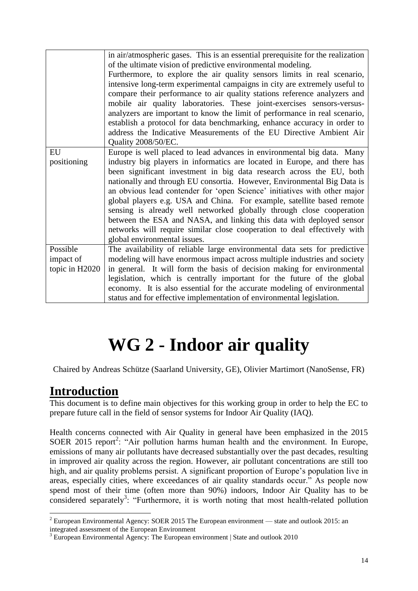|                | in air/atmospheric gases. This is an essential prerequisite for the realization |
|----------------|---------------------------------------------------------------------------------|
|                | of the ultimate vision of predictive environmental modeling.                    |
|                | Furthermore, to explore the air quality sensors limits in real scenario,        |
|                | intensive long-term experimental campaigns in city are extremely useful to      |
|                | compare their performance to air quality stations reference analyzers and       |
|                | mobile air quality laboratories. These joint-exercises sensors-versus-          |
|                | analyzers are important to know the limit of performance in real scenario,      |
|                | establish a protocol for data benchmarking, enhance accuracy in order to        |
|                | address the Indicative Measurements of the EU Directive Ambient Air             |
|                | Quality 2008/50/EC.                                                             |
| EU             | Europe is well placed to lead advances in environmental big data. Many          |
| positioning    | industry big players in informatics are located in Europe, and there has        |
|                | been significant investment in big data research across the EU, both            |
|                | nationally and through EU consortia. However, Environmental Big Data is         |
|                | an obvious lead contender for 'open Science' initiatives with other major       |
|                | global players e.g. USA and China. For example, satellite based remote          |
|                | sensing is already well networked globally through close cooperation            |
|                | between the ESA and NASA, and linking this data with deployed sensor            |
|                | networks will require similar close cooperation to deal effectively with        |
|                | global environmental issues.                                                    |
| Possible       | The availability of reliable large environmental data sets for predictive       |
| impact of      | modeling will have enormous impact across multiple industries and society       |
| topic in H2020 | in general. It will form the basis of decision making for environmental         |
|                | legislation, which is centrally important for the future of the global          |
|                | economy. It is also essential for the accurate modeling of environmental        |
|                | status and for effective implementation of environmental legislation.           |

# **WG 2 - Indoor air quality**

Chaired by Andreas Schütze (Saarland University, GE), Olivier Martimort (NanoSense, FR)

## **Introduction**

1

This document is to define main objectives for this working group in order to help the EC to prepare future call in the field of sensor systems for Indoor Air Quality (IAQ).

Health concerns connected with Air Quality in general have been emphasized in the 2015 SOER 2015 report<sup>2</sup>: "Air pollution harms human health and the environment. In Europe, emissions of many air pollutants have decreased substantially over the past decades, resulting in improved air quality across the region. However, air pollutant concentrations are still too high, and air quality problems persist. A significant proportion of Europe's population live in areas, especially cities, where exceedances of air quality standards occur." As people now spend most of their time (often more than 90%) indoors, Indoor Air Quality has to be considered separately<sup>3</sup>: "Furthermore, it is worth noting that most health-related pollution

 $2$  European Environmental Agency: SOER 2015 The European environment — state and outlook 2015: an integrated assessment of the European Environment

 $3$  European Environmental Agency: The European environment | State and outlook 2010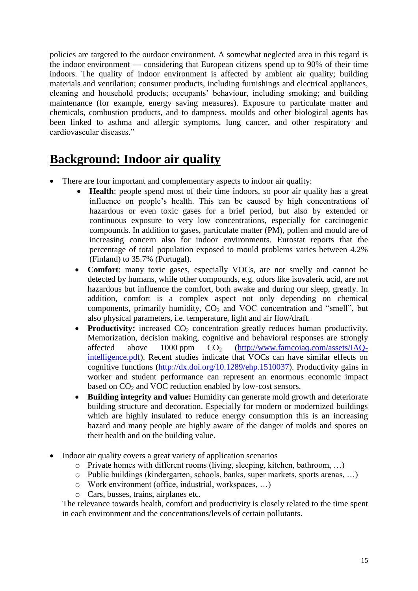policies are targeted to the outdoor environment. A somewhat neglected area in this regard is the indoor environment — considering that European citizens spend up to 90% of their time indoors. The quality of indoor environment is affected by ambient air quality; building materials and ventilation; consumer products, including furnishings and electrical appliances, cleaning and household products; occupants' behaviour, including smoking; and building maintenance (for example, energy saving measures). Exposure to particulate matter and chemicals, combustion products, and to dampness, moulds and other biological agents has been linked to asthma and allergic symptoms, lung cancer, and other respiratory and cardiovascular diseases."

### **Background: Indoor air quality**

- There are four important and complementary aspects to indoor air quality:
	- **Health**: people spend most of their time indoors, so poor air quality has a great influence on people's health. This can be caused by high concentrations of hazardous or even toxic gases for a brief period, but also by extended or continuous exposure to very low concentrations, especially for carcinogenic compounds. In addition to gases, particulate matter (PM), pollen and mould are of increasing concern also for indoor environments. Eurostat reports that the percentage of total population exposed to mould problems varies between 4.2% (Finland) to 35.7% (Portugal).
	- **Comfort:** many toxic gases, especially VOCs, are not smelly and cannot be detected by humans, while other compounds, e.g. odors like isovaleric acid, are not hazardous but influence the comfort, both awake and during our sleep, greatly. In addition, comfort is a complex aspect not only depending on chemical components, primarily humidity,  $CO<sub>2</sub>$  and VOC concentration and "smell", but also physical parameters, i.e. temperature, light and air flow/draft.
	- **Productivity:** increased CO<sub>2</sub> concentration greatly reduces human productivity. Memorization, decision making, cognitive and behavioral responses are strongly affected above  $1000$  ppm  $CO<sub>2</sub>$  [\(http://www.famcoiaq.com/assets/IAQ](http://www.famcoiaq.com/assets/IAQ-intelligence.pdf)[intelligence.pdf\)](http://www.famcoiaq.com/assets/IAQ-intelligence.pdf). Recent studies indicate that VOCs can have similar effects on cognitive functions [\(http://dx.doi.org/10.1289/ehp.1510037\)](http://dx.doi.org/10.1289/ehp.1510037). Productivity gains in worker and student performance can represent an enormous economic impact based on  $CO<sub>2</sub>$  and VOC reduction enabled by low-cost sensors.
	- **Building integrity and value:** Humidity can generate mold growth and deteriorate building structure and decoration. Especially for modern or modernized buildings which are highly insulated to reduce energy consumption this is an increasing hazard and many people are highly aware of the danger of molds and spores on their health and on the building value.
- Indoor air quality covers a great variety of application scenarios
	- o Private homes with different rooms (living, sleeping, kitchen, bathroom, …)
	- o Public buildings (kindergarten, schools, banks, super markets, sports arenas, …)
	- o Work environment (office, industrial, workspaces, …)
	- o Cars, busses, trains, airplanes etc.

The relevance towards health, comfort and productivity is closely related to the time spent in each environment and the concentrations/levels of certain pollutants.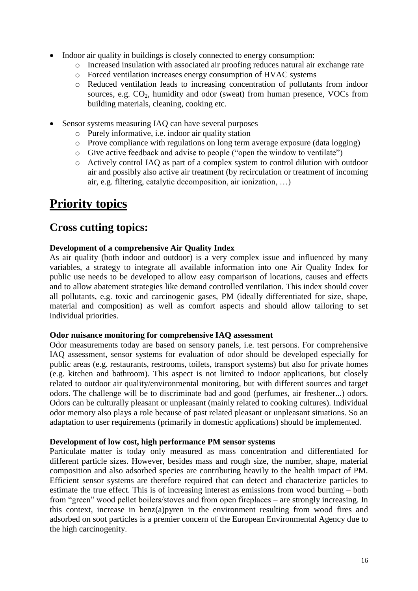- Indoor air quality in buildings is closely connected to energy consumption:
	- o Increased insulation with associated air proofing reduces natural air exchange rate
	- o Forced ventilation increases energy consumption of HVAC systems
	- o Reduced ventilation leads to increasing concentration of pollutants from indoor sources, e.g.  $CO<sub>2</sub>$ , humidity and odor (sweat) from human presence, VOCs from building materials, cleaning, cooking etc.
- Sensor systems measuring IAQ can have several purposes
	- o Purely informative, i.e. indoor air quality station
	- o Prove compliance with regulations on long term average exposure (data logging)
	- o Give active feedback and advise to people ("open the window to ventilate")
	- o Actively control IAQ as part of a complex system to control dilution with outdoor air and possibly also active air treatment (by recirculation or treatment of incoming air, e.g. filtering, catalytic decomposition, air ionization, …)

### **Priority topics**

### **Cross cutting topics:**

### **Development of a comprehensive Air Quality Index**

As air quality (both indoor and outdoor) is a very complex issue and influenced by many variables, a strategy to integrate all available information into one Air Quality Index for public use needs to be developed to allow easy comparison of locations, causes and effects and to allow abatement strategies like demand controlled ventilation. This index should cover all pollutants, e.g. toxic and carcinogenic gases, PM (ideally differentiated for size, shape, material and composition) as well as comfort aspects and should allow tailoring to set individual priorities.

#### **Odor nuisance monitoring for comprehensive IAQ assessment**

Odor measurements today are based on sensory panels, i.e. test persons. For comprehensive IAQ assessment, sensor systems for evaluation of odor should be developed especially for public areas (e.g. restaurants, restrooms, toilets, transport systems) but also for private homes (e.g. kitchen and bathroom). This aspect is not limited to indoor applications, but closely related to outdoor air quality/environmental monitoring, but with different sources and target odors. The challenge will be to discriminate bad and good (perfumes, air freshener...) odors. Odors can be culturally pleasant or unpleasant (mainly related to cooking cultures). Individual odor memory also plays a role because of past related pleasant or unpleasant situations. So an adaptation to user requirements (primarily in domestic applications) should be implemented.

#### **Development of low cost, high performance PM sensor systems**

Particulate matter is today only measured as mass concentration and differentiated for different particle sizes. However, besides mass and rough size, the number, shape, material composition and also adsorbed species are contributing heavily to the health impact of PM. Efficient sensor systems are therefore required that can detect and characterize particles to estimate the true effect. This is of increasing interest as emissions from wood burning – both from "green" wood pellet boilers/stoves and from open fireplaces – are strongly increasing. In this context, increase in benz(a)pyren in the environment resulting from wood fires and adsorbed on soot particles is a premier concern of the European Environmental Agency due to the high carcinogenity.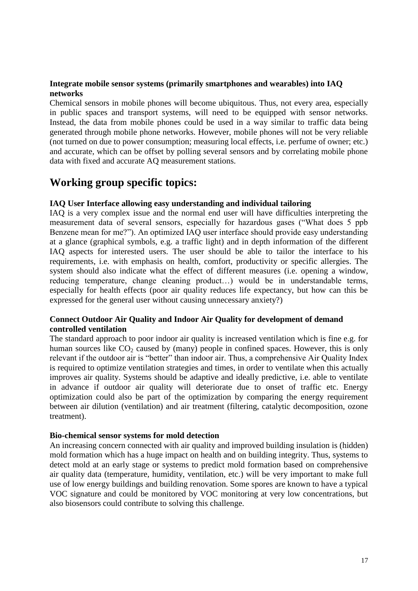### **Integrate mobile sensor systems (primarily smartphones and wearables) into IAQ networks**

Chemical sensors in mobile phones will become ubiquitous. Thus, not every area, especially in public spaces and transport systems, will need to be equipped with sensor networks. Instead, the data from mobile phones could be used in a way similar to traffic data being generated through mobile phone networks. However, mobile phones will not be very reliable (not turned on due to power consumption; measuring local effects, i.e. perfume of owner; etc.) and accurate, which can be offset by polling several sensors and by correlating mobile phone data with fixed and accurate AQ measurement stations.

### **Working group specific topics:**

### **IAQ User Interface allowing easy understanding and individual tailoring**

IAQ is a very complex issue and the normal end user will have difficulties interpreting the measurement data of several sensors, especially for hazardous gases ("What does 5 ppb Benzene mean for me?"). An optimized IAQ user interface should provide easy understanding at a glance (graphical symbols, e.g. a traffic light) and in depth information of the different IAQ aspects for interested users. The user should be able to tailor the interface to his requirements, i.e. with emphasis on health, comfort, productivity or specific allergies. The system should also indicate what the effect of different measures (i.e. opening a window, reducing temperature, change cleaning product…) would be in understandable terms, especially for health effects (poor air quality reduces life expectancy, but how can this be expressed for the general user without causing unnecessary anxiety?)

### **Connect Outdoor Air Quality and Indoor Air Quality for development of demand controlled ventilation**

The standard approach to poor indoor air quality is increased ventilation which is fine e.g. for human sources like  $CO_2$  caused by (many) people in confined spaces. However, this is only relevant if the outdoor air is "better" than indoor air. Thus, a comprehensive Air Quality Index is required to optimize ventilation strategies and times, in order to ventilate when this actually improves air quality. Systems should be adaptive and ideally predictive, i.e. able to ventilate in advance if outdoor air quality will deteriorate due to onset of traffic etc. Energy optimization could also be part of the optimization by comparing the energy requirement between air dilution (ventilation) and air treatment (filtering, catalytic decomposition, ozone treatment).

#### **Bio-chemical sensor systems for mold detection**

An increasing concern connected with air quality and improved building insulation is (hidden) mold formation which has a huge impact on health and on building integrity. Thus, systems to detect mold at an early stage or systems to predict mold formation based on comprehensive air quality data (temperature, humidity, ventilation, etc.) will be very important to make full use of low energy buildings and building renovation. Some spores are known to have a typical VOC signature and could be monitored by VOC monitoring at very low concentrations, but also biosensors could contribute to solving this challenge.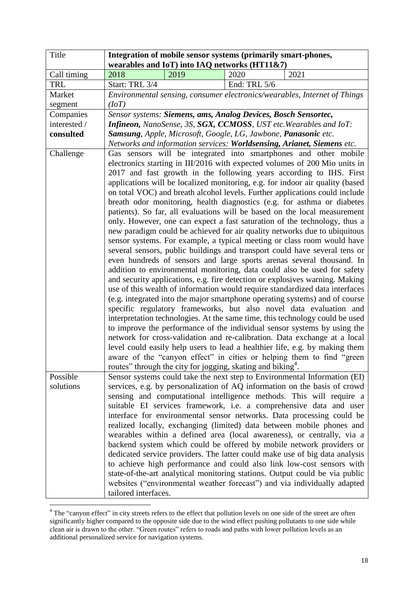| Title        |                                                                | Integration of mobile sensor systems (primarily smart-phones,           |              |                                                                                                                                                                                                                                                                                                                                                                                                                                                                                                                                                                                                                                                                                                                                                                                                                                                                                                                                                                                                                                                                                                                                                                                                                                                                                                                                                                                                                                                                                                                                                                                                                                                                                                                                             |
|--------------|----------------------------------------------------------------|-------------------------------------------------------------------------|--------------|---------------------------------------------------------------------------------------------------------------------------------------------------------------------------------------------------------------------------------------------------------------------------------------------------------------------------------------------------------------------------------------------------------------------------------------------------------------------------------------------------------------------------------------------------------------------------------------------------------------------------------------------------------------------------------------------------------------------------------------------------------------------------------------------------------------------------------------------------------------------------------------------------------------------------------------------------------------------------------------------------------------------------------------------------------------------------------------------------------------------------------------------------------------------------------------------------------------------------------------------------------------------------------------------------------------------------------------------------------------------------------------------------------------------------------------------------------------------------------------------------------------------------------------------------------------------------------------------------------------------------------------------------------------------------------------------------------------------------------------------|
|              |                                                                | wearables and IoT) into IAQ networks (HT11&7)                           |              |                                                                                                                                                                                                                                                                                                                                                                                                                                                                                                                                                                                                                                                                                                                                                                                                                                                                                                                                                                                                                                                                                                                                                                                                                                                                                                                                                                                                                                                                                                                                                                                                                                                                                                                                             |
| Call timing  | 2018                                                           | 2019                                                                    | 2020         | 2021                                                                                                                                                                                                                                                                                                                                                                                                                                                                                                                                                                                                                                                                                                                                                                                                                                                                                                                                                                                                                                                                                                                                                                                                                                                                                                                                                                                                                                                                                                                                                                                                                                                                                                                                        |
| <b>TRL</b>   | Start: TRL 3/4                                                 |                                                                         | End: TRL 5/6 |                                                                                                                                                                                                                                                                                                                                                                                                                                                                                                                                                                                                                                                                                                                                                                                                                                                                                                                                                                                                                                                                                                                                                                                                                                                                                                                                                                                                                                                                                                                                                                                                                                                                                                                                             |
| Market       |                                                                |                                                                         |              | Environmental sensing, consumer electronics/wearables, Internet of Things                                                                                                                                                                                                                                                                                                                                                                                                                                                                                                                                                                                                                                                                                                                                                                                                                                                                                                                                                                                                                                                                                                                                                                                                                                                                                                                                                                                                                                                                                                                                                                                                                                                                   |
| segment      | (IoT)                                                          |                                                                         |              |                                                                                                                                                                                                                                                                                                                                                                                                                                                                                                                                                                                                                                                                                                                                                                                                                                                                                                                                                                                                                                                                                                                                                                                                                                                                                                                                                                                                                                                                                                                                                                                                                                                                                                                                             |
| Companies    |                                                                | Sensor systems: Siemens, ams, Analog Devices, Bosch Sensortec,          |              |                                                                                                                                                                                                                                                                                                                                                                                                                                                                                                                                                                                                                                                                                                                                                                                                                                                                                                                                                                                                                                                                                                                                                                                                                                                                                                                                                                                                                                                                                                                                                                                                                                                                                                                                             |
| interested / |                                                                |                                                                         |              | Infineon, NanoSense, 3S, SGX, CCMOSS, UST etc. Wearables and IoT:                                                                                                                                                                                                                                                                                                                                                                                                                                                                                                                                                                                                                                                                                                                                                                                                                                                                                                                                                                                                                                                                                                                                                                                                                                                                                                                                                                                                                                                                                                                                                                                                                                                                           |
| consulted    | Samsung, Apple, Microsoft, Google, LG, Jawbone, Panasonic etc. |                                                                         |              |                                                                                                                                                                                                                                                                                                                                                                                                                                                                                                                                                                                                                                                                                                                                                                                                                                                                                                                                                                                                                                                                                                                                                                                                                                                                                                                                                                                                                                                                                                                                                                                                                                                                                                                                             |
|              |                                                                |                                                                         |              | Networks and information services: Worldsensing, Arianet, Siemens etc.                                                                                                                                                                                                                                                                                                                                                                                                                                                                                                                                                                                                                                                                                                                                                                                                                                                                                                                                                                                                                                                                                                                                                                                                                                                                                                                                                                                                                                                                                                                                                                                                                                                                      |
| Challenge    |                                                                | routes" through the city for jogging, skating and biking <sup>4</sup> . |              | Gas sensors will be integrated into smartphones and other mobile<br>electronics starting in III/2016 with expected volumes of 200 Mio units in<br>2017 and fast growth in the following years according to IHS. First<br>applications will be localized monitoring, e.g. for indoor air quality (based<br>on total VOC) and breath alcohol levels. Further applications could include<br>breath odor monitoring, health diagnostics (e.g. for asthma or diabetes<br>patients). So far, all evaluations will be based on the local measurement<br>only. However, one can expect a fast saturation of the technology, thus a<br>new paradigm could be achieved for air quality networks due to ubiquitous<br>sensor systems. For example, a typical meeting or class room would have<br>several sensors, public buildings and transport could have several tens or<br>even hundreds of sensors and large sports arenas several thousand. In<br>addition to environmental monitoring, data could also be used for safety<br>and security applications, e.g. fire detection or explosives warning. Making<br>use of this wealth of information would require standardized data interfaces<br>(e.g. integrated into the major smartphone operating systems) and of course<br>specific regulatory frameworks, but also novel data evaluation and<br>interpretation technologies. At the same time, this technology could be used<br>to improve the performance of the individual sensor systems by using the<br>network for cross-validation and re-calibration. Data exchange at a local<br>level could easily help users to lead a healthier life, e.g. by making them<br>aware of the "canyon effect" in cities or helping them to find "green |
| Possible     |                                                                |                                                                         |              | Sensor systems could take the next step to Environmental Information (EI)                                                                                                                                                                                                                                                                                                                                                                                                                                                                                                                                                                                                                                                                                                                                                                                                                                                                                                                                                                                                                                                                                                                                                                                                                                                                                                                                                                                                                                                                                                                                                                                                                                                                   |
| solutions    | tailored interfaces.                                           |                                                                         |              | services, e.g. by personalization of AQ information on the basis of crowd<br>sensing and computational intelligence methods. This will require a<br>suitable EI services framework, i.e. a comprehensive data and user<br>interface for environmental sensor networks. Data processing could be<br>realized locally, exchanging (limited) data between mobile phones and<br>wearables within a defined area (local awareness), or centrally, via a<br>backend system which could be offered by mobile network providers or<br>dedicated service providers. The latter could make use of big data analysis<br>to achieve high performance and could also link low-cost sensors with<br>state-of-the-art analytical monitoring stations. Output could be via public<br>websites ("environmental weather forecast") and via individually adapted                                                                                                                                                                                                                                                                                                                                                                                                                                                                                                                                                                                                                                                                                                                                                                                                                                                                                               |

 $4$  The "canyon effect" in city streets refers to the effect that pollution levels on one side of the street are often significantly higher compared to the opposite side due to the wind effect pushing pollutants to one side while clean air is drawn to the other. "Green routes" refers to roads and paths with lower pollution levels as an additional personalized service for navigation systems.

1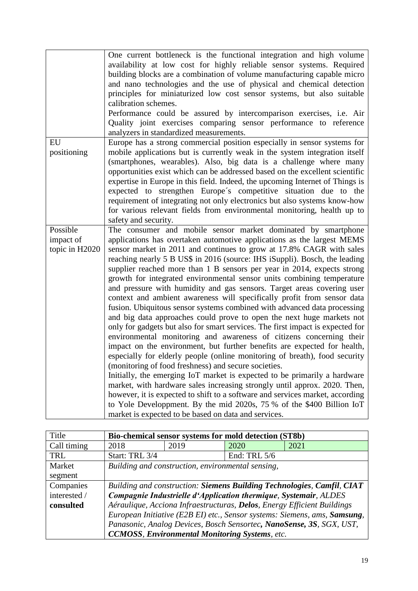|                                         | One current bottleneck is the functional integration and high volume<br>availability at low cost for highly reliable sensor systems. Required<br>building blocks are a combination of volume manufacturing capable micro<br>and nano technologies and the use of physical and chemical detection<br>principles for miniaturized low cost sensor systems, but also suitable<br>calibration schemes.<br>Performance could be assured by intercomparison exercises, i.e. Air<br>Quality joint exercises comparing sensor performance to reference<br>analyzers in standardized measurements.                                                                                                                                                                                                                                                                                                                                                                                                                                                                                                                                                                                                                                                                                                                                                                                                                                                                                                                           |
|-----------------------------------------|---------------------------------------------------------------------------------------------------------------------------------------------------------------------------------------------------------------------------------------------------------------------------------------------------------------------------------------------------------------------------------------------------------------------------------------------------------------------------------------------------------------------------------------------------------------------------------------------------------------------------------------------------------------------------------------------------------------------------------------------------------------------------------------------------------------------------------------------------------------------------------------------------------------------------------------------------------------------------------------------------------------------------------------------------------------------------------------------------------------------------------------------------------------------------------------------------------------------------------------------------------------------------------------------------------------------------------------------------------------------------------------------------------------------------------------------------------------------------------------------------------------------|
| EU<br>positioning                       | Europe has a strong commercial position especially in sensor systems for<br>mobile applications but is currently weak in the system integration itself<br>(smartphones, wearables). Also, big data is a challenge where many<br>opportunities exist which can be addressed based on the excellent scientific<br>expertise in Europe in this field. Indeed, the upcoming Internet of Things is<br>expected to strengthen Europe's competitive situation due to the<br>requirement of integrating not only electronics but also systems know-how<br>for various relevant fields from environmental monitoring, health up to<br>safety and security.                                                                                                                                                                                                                                                                                                                                                                                                                                                                                                                                                                                                                                                                                                                                                                                                                                                                   |
| Possible<br>impact of<br>topic in H2020 | The consumer and mobile sensor market dominated by smartphone<br>applications has overtaken automotive applications as the largest MEMS<br>sensor market in 2011 and continues to grow at 17.8% CAGR with sales<br>reaching nearly 5 B US\$ in 2016 (source: IHS iSuppli). Bosch, the leading<br>supplier reached more than 1 B sensors per year in 2014, expects strong<br>growth for integrated environmental sensor units combining temperature<br>and pressure with humidity and gas sensors. Target areas covering user<br>context and ambient awareness will specifically profit from sensor data<br>fusion. Ubiquitous sensor systems combined with advanced data processing<br>and big data approaches could prove to open the next huge markets not<br>only for gadgets but also for smart services. The first impact is expected for<br>environmental monitoring and awareness of citizens concerning their<br>impact on the environment, but further benefits are expected for health,<br>especially for elderly people (online monitoring of breath), food security<br>(monitoring of food freshness) and secure societies.<br>Initially, the emerging IoT market is expected to be primarily a hardware<br>market, with hardware sales increasing strongly until approx. 2020. Then,<br>however, it is expected to shift to a software and services market, according<br>to Yole Developpment. By the mid 2020s, 75 % of the \$400 Billion IoT<br>market is expected to be based on data and services. |

| Title        | Bio-chemical sensor systems for mold detection (ST8b)                           |                                                   |              |      |
|--------------|---------------------------------------------------------------------------------|---------------------------------------------------|--------------|------|
| Call timing  | 2018                                                                            | 2019                                              | 2020         | 2021 |
| TRL          | Start: TRL 3/4                                                                  |                                                   | End: TRL 5/6 |      |
| Market       |                                                                                 | Building and construction, environmental sensing, |              |      |
| segment      |                                                                                 |                                                   |              |      |
| Companies    | Building and construction: Siemens Building Technologies, Camfil, CIAT          |                                                   |              |      |
| interested / | Compagnie Industrielle d'Application thermique, Systemair, ALDES                |                                                   |              |      |
| consulted    | Aéraulique, Acciona Infraestructuras, <b>Delos</b> , Energy Efficient Buildings |                                                   |              |      |
|              | European Initiative (E2B EI) etc., Sensor systems: Siemens, ams, Samsung,       |                                                   |              |      |
|              | Panasonic, Analog Devices, Bosch Sensortec, NanoSense, 3S, SGX, UST,            |                                                   |              |      |
|              | <b>CCMOSS, Environmental Monitoring Systems, etc.</b>                           |                                                   |              |      |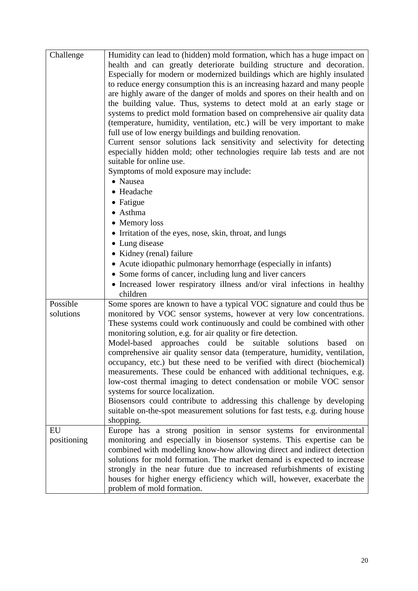| Challenge   | Humidity can lead to (hidden) mold formation, which has a huge impact on              |
|-------------|---------------------------------------------------------------------------------------|
|             | health and can greatly deteriorate building structure and decoration.                 |
|             | Especially for modern or modernized buildings which are highly insulated              |
|             | to reduce energy consumption this is an increasing hazard and many people             |
|             | are highly aware of the danger of molds and spores on their health and on             |
|             | the building value. Thus, systems to detect mold at an early stage or                 |
|             | systems to predict mold formation based on comprehensive air quality data             |
|             | (temperature, humidity, ventilation, etc.) will be very important to make             |
|             | full use of low energy buildings and building renovation.                             |
|             | Current sensor solutions lack sensitivity and selectivity for detecting               |
|             | especially hidden mold; other technologies require lab tests and are not              |
|             | suitable for online use.                                                              |
|             | Symptoms of mold exposure may include:                                                |
|             | • Nausea                                                                              |
|             | • Headache                                                                            |
|             | $\bullet$ Fatigue                                                                     |
|             | • Asthma                                                                              |
|             | • Memory loss                                                                         |
|             | • Irritation of the eyes, nose, skin, throat, and lungs                               |
|             | • Lung disease                                                                        |
|             | • Kidney (renal) failure                                                              |
|             |                                                                                       |
|             | • Acute idiopathic pulmonary hemorrhage (especially in infants)                       |
|             | • Some forms of cancer, including lung and liver cancers                              |
|             | • Increased lower respiratory illness and/or viral infections in healthy<br>children  |
| Possible    | Some spores are known to have a typical VOC signature and could thus be               |
| solutions   | monitored by VOC sensor systems, however at very low concentrations.                  |
|             | These systems could work continuously and could be combined with other                |
|             | monitoring solution, e.g. for air quality or fire detection.                          |
|             | approaches could be<br>Model-based<br>suitable<br>solutions<br>based<br><sub>on</sub> |
|             | comprehensive air quality sensor data (temperature, humidity, ventilation,            |
|             | occupancy, etc.) but these need to be verified with direct (biochemical)              |
|             | measurements. These could be enhanced with additional techniques, e.g.                |
|             | low-cost thermal imaging to detect condensation or mobile VOC sensor                  |
|             | systems for source localization.                                                      |
|             | Biosensors could contribute to addressing this challenge by developing                |
|             | suitable on-the-spot measurement solutions for fast tests, e.g. during house          |
|             | shopping.                                                                             |
| EU          | Europe has a strong position in sensor systems for environmental                      |
| positioning | monitoring and especially in biosensor systems. This expertise can be                 |
|             | combined with modelling know-how allowing direct and indirect detection               |
|             | solutions for mold formation. The market demand is expected to increase               |
|             | strongly in the near future due to increased refurbishments of existing               |
|             | houses for higher energy efficiency which will, however, exacerbate the               |
|             | problem of mold formation.                                                            |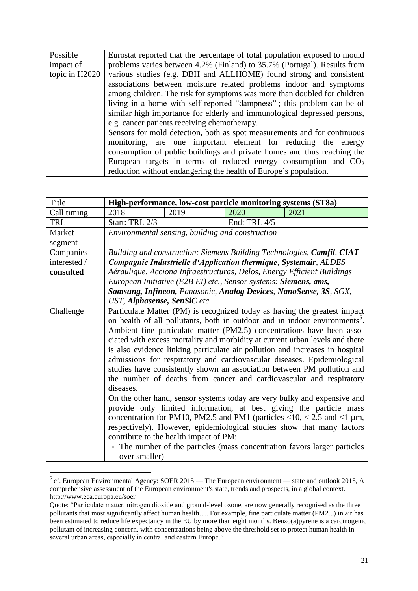| Possible       | Eurostat reported that the percentage of total population exposed to mould |
|----------------|----------------------------------------------------------------------------|
| impact of      | problems varies between 4.2% (Finland) to 35.7% (Portugal). Results from   |
| topic in H2020 | various studies (e.g. DBH and ALLHOME) found strong and consistent         |
|                | associations between moisture related problems indoor and symptoms         |
|                | among children. The risk for symptoms was more than doubled for children   |
|                | living in a home with self reported "dampness"; this problem can be of     |
|                | similar high importance for elderly and immunological depressed persons,   |
|                | e.g. cancer patients receiving chemotherapy.                               |
|                | Sensors for mold detection, both as spot measurements and for continuous   |
|                | monitoring, are one important element for reducing the energy              |
|                | consumption of public buildings and private homes and thus reaching the    |
|                | European targets in terms of reduced energy consumption and $CO2$          |
|                | reduction without endangering the health of Europe's population.           |

| Title        | High-performance, low-cost particle monitoring systems (ST8a) |                                                                  |              |                                                                                                                                                                                                                                                                                                                                                                                                                                                                                                                                                                                                                                                                                                                                                                                                                                                                                                                                                                                                                                                                       |
|--------------|---------------------------------------------------------------|------------------------------------------------------------------|--------------|-----------------------------------------------------------------------------------------------------------------------------------------------------------------------------------------------------------------------------------------------------------------------------------------------------------------------------------------------------------------------------------------------------------------------------------------------------------------------------------------------------------------------------------------------------------------------------------------------------------------------------------------------------------------------------------------------------------------------------------------------------------------------------------------------------------------------------------------------------------------------------------------------------------------------------------------------------------------------------------------------------------------------------------------------------------------------|
| Call timing  | 2018                                                          | 2019                                                             | 2020         | 2021                                                                                                                                                                                                                                                                                                                                                                                                                                                                                                                                                                                                                                                                                                                                                                                                                                                                                                                                                                                                                                                                  |
| <b>TRL</b>   | Start: TRL 2/3                                                |                                                                  | End: TRL 4/5 |                                                                                                                                                                                                                                                                                                                                                                                                                                                                                                                                                                                                                                                                                                                                                                                                                                                                                                                                                                                                                                                                       |
| Market       |                                                               | Environmental sensing, building and construction                 |              |                                                                                                                                                                                                                                                                                                                                                                                                                                                                                                                                                                                                                                                                                                                                                                                                                                                                                                                                                                                                                                                                       |
| segment      |                                                               |                                                                  |              |                                                                                                                                                                                                                                                                                                                                                                                                                                                                                                                                                                                                                                                                                                                                                                                                                                                                                                                                                                                                                                                                       |
| Companies    |                                                               |                                                                  |              | Building and construction: Siemens Building Technologies, Camfil, CIAT                                                                                                                                                                                                                                                                                                                                                                                                                                                                                                                                                                                                                                                                                                                                                                                                                                                                                                                                                                                                |
| interested / |                                                               |                                                                  |              | Compagnie Industrielle d'Application thermique, Systemair, ALDES                                                                                                                                                                                                                                                                                                                                                                                                                                                                                                                                                                                                                                                                                                                                                                                                                                                                                                                                                                                                      |
| consulted    |                                                               |                                                                  |              | Aéraulique, Acciona Infraestructuras, Delos, Energy Efficient Buildings                                                                                                                                                                                                                                                                                                                                                                                                                                                                                                                                                                                                                                                                                                                                                                                                                                                                                                                                                                                               |
|              |                                                               | European Initiative (E2B EI) etc., Sensor systems: Siemens, ams, |              |                                                                                                                                                                                                                                                                                                                                                                                                                                                                                                                                                                                                                                                                                                                                                                                                                                                                                                                                                                                                                                                                       |
|              |                                                               |                                                                  |              | Samsung, Infineon, Panasonic, Analog Devices, NanoSense, 3S, SGX,                                                                                                                                                                                                                                                                                                                                                                                                                                                                                                                                                                                                                                                                                                                                                                                                                                                                                                                                                                                                     |
|              | UST, Alphasense, SenSiC etc.                                  |                                                                  |              |                                                                                                                                                                                                                                                                                                                                                                                                                                                                                                                                                                                                                                                                                                                                                                                                                                                                                                                                                                                                                                                                       |
| Challenge    | diseases.<br>over smaller)                                    | contribute to the health impact of PM:                           |              | Particulate Matter (PM) is recognized today as having the greatest impact<br>on health of all pollutants, both in outdoor and in indoor environments <sup>5</sup> .<br>Ambient fine particulate matter (PM2.5) concentrations have been asso-<br>ciated with excess mortality and morbidity at current urban levels and there<br>is also evidence linking particulate air pollution and increases in hospital<br>admissions for respiratory and cardiovascular diseases. Epidemiological<br>studies have consistently shown an association between PM pollution and<br>the number of deaths from cancer and cardiovascular and respiratory<br>On the other hand, sensor systems today are very bulky and expensive and<br>provide only limited information, at best giving the particle mass<br>concentration for PM10, PM2.5 and PM1 (particles $\langle 10, \langle 2.5 \rangle$ and $\langle 1 \rangle$ µm,<br>respectively). However, epidemiological studies show that many factors<br>- The number of the particles (mass concentration favors larger particles |

 $<sup>5</sup>$  cf. European Environmental Agency: SOER 2015 — The European environment — state and outlook 2015, A</sup> comprehensive assessment of the European environment's state, trends and prospects, in a global context. http://www.eea.europa.eu/soer

<u>.</u>

Quote: "Particulate matter, nitrogen dioxide and ground-level ozone, are now generally recognised as the three pollutants that most significantly affect human health…. For example, fine particulate matter (PM2.5) in air has been estimated to reduce life expectancy in the EU by more than eight months. Benzo(a)pyrene is a carcinogenic pollutant of increasing concern, with concentrations being above the threshold set to protect human health in several urban areas, especially in central and eastern Europe."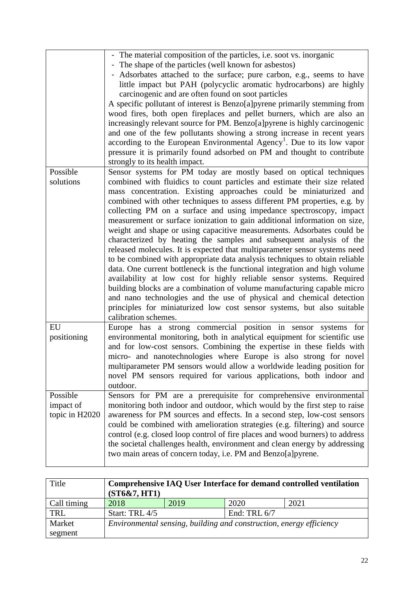|                                         | - The material composition of the particles, i.e. soot vs. inorganic                                                                                                                                                                                                                                                                                                                                                                                                                                                                                                                                                                                                                                                                                                                                                                                                                                                                                                                                                                                                                                                                                                            |
|-----------------------------------------|---------------------------------------------------------------------------------------------------------------------------------------------------------------------------------------------------------------------------------------------------------------------------------------------------------------------------------------------------------------------------------------------------------------------------------------------------------------------------------------------------------------------------------------------------------------------------------------------------------------------------------------------------------------------------------------------------------------------------------------------------------------------------------------------------------------------------------------------------------------------------------------------------------------------------------------------------------------------------------------------------------------------------------------------------------------------------------------------------------------------------------------------------------------------------------|
|                                         | - The shape of the particles (well known for asbestos)<br>- Adsorbates attached to the surface; pure carbon, e.g., seems to have<br>little impact but PAH (polycyclic aromatic hydrocarbons) are highly<br>carcinogenic and are often found on soot particles<br>A specific pollutant of interest is Benzo[a]pyrene primarily stemming from<br>wood fires, both open fireplaces and pellet burners, which are also an<br>increasingly relevant source for PM. Benzo[a]pyrene is highly carcinogenic<br>and one of the few pollutants showing a strong increase in recent years<br>according to the European Environmental Agency <sup>1</sup> . Due to its low vapor<br>pressure it is primarily found adsorbed on PM and thought to contribute                                                                                                                                                                                                                                                                                                                                                                                                                                 |
|                                         | strongly to its health impact.                                                                                                                                                                                                                                                                                                                                                                                                                                                                                                                                                                                                                                                                                                                                                                                                                                                                                                                                                                                                                                                                                                                                                  |
| Possible<br>solutions                   | Sensor systems for PM today are mostly based on optical techniques<br>combined with fluidics to count particles and estimate their size related<br>mass concentration. Existing approaches could be miniaturized and<br>combined with other techniques to assess different PM properties, e.g. by<br>collecting PM on a surface and using impedance spectroscopy, impact<br>measurement or surface ionization to gain additional information on size,<br>weight and shape or using capacitive measurements. Adsorbates could be<br>characterized by heating the samples and subsequent analysis of the<br>released molecules. It is expected that multiparameter sensor systems need<br>to be combined with appropriate data analysis techniques to obtain reliable<br>data. One current bottleneck is the functional integration and high volume<br>availability at low cost for highly reliable sensor systems. Required<br>building blocks are a combination of volume manufacturing capable micro<br>and nano technologies and the use of physical and chemical detection<br>principles for miniaturized low cost sensor systems, but also suitable<br>calibration schemes. |
| EU<br>positioning                       | Europe has a strong commercial position in sensor systems for<br>environmental monitoring, both in analytical equipment for scientific use<br>and for low-cost sensors. Combining the expertise in these fields with<br>micro- and nanotechnologies where Europe is also strong for novel<br>multiparameter PM sensors would allow a worldwide leading position for<br>novel PM sensors required for various applications, both indoor and<br>outdoor.                                                                                                                                                                                                                                                                                                                                                                                                                                                                                                                                                                                                                                                                                                                          |
| Possible<br>impact of<br>topic in H2020 | Sensors for PM are a prerequisite for comprehensive environmental<br>monitoring both indoor and outdoor, which would by the first step to raise<br>awareness for PM sources and effects. In a second step, low-cost sensors<br>could be combined with amelioration strategies (e.g. filtering) and source<br>control (e.g. closed loop control of fire places and wood burners) to address<br>the societal challenges health, environment and clean energy by addressing<br>two main areas of concern today, i.e. PM and Benzo[a]pyrene.                                                                                                                                                                                                                                                                                                                                                                                                                                                                                                                                                                                                                                        |

| Title       | Comprehensive IAQ User Interface for demand controlled ventilation<br>(ST6&7, HT1) |      |                |      |
|-------------|------------------------------------------------------------------------------------|------|----------------|------|
| Call timing | 2018                                                                               | 2019 | 2020           | 2021 |
| <b>TRL</b>  | Start: TRL 4/5                                                                     |      | End: TRL $6/7$ |      |
| Market      | Environmental sensing, building and construction, energy efficiency                |      |                |      |
| segment     |                                                                                    |      |                |      |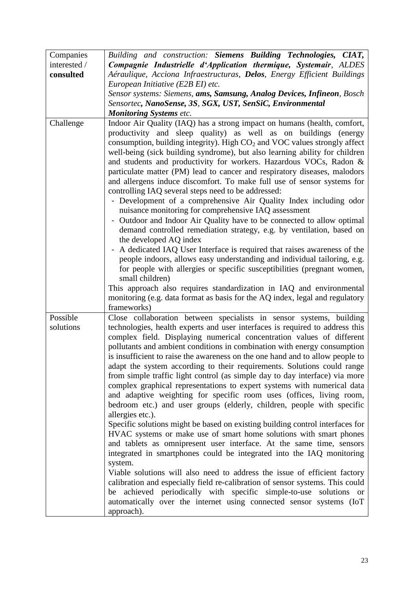| Companies    | Building and construction: Siemens Building Technologies, CIAT,                                                              |  |  |  |
|--------------|------------------------------------------------------------------------------------------------------------------------------|--|--|--|
| interested / | Compagnie Industrielle d'Application thermique, Systemair, ALDES                                                             |  |  |  |
| consulted    | Aéraulique, Acciona Infraestructuras, Delos, Energy Efficient Buildings                                                      |  |  |  |
|              | European Initiative (E2B EI) etc.                                                                                            |  |  |  |
|              | Sensor systems: Siemens, ams, Samsung, Analog Devices, Infineon, Bosch                                                       |  |  |  |
|              | Sensortec, NanoSense, 3S, SGX, UST, SenSiC, Environmental                                                                    |  |  |  |
|              | <b>Monitoring Systems etc.</b>                                                                                               |  |  |  |
| Challenge    | Indoor Air Quality (IAQ) has a strong impact on humans (health, comfort,                                                     |  |  |  |
|              | productivity and sleep quality) as well as on buildings (energy                                                              |  |  |  |
|              | consumption, building integrity). High $CO2$ and VOC values strongly affect                                                  |  |  |  |
|              | well-being (sick building syndrome), but also learning ability for children                                                  |  |  |  |
|              | and students and productivity for workers. Hazardous VOCs, Radon &                                                           |  |  |  |
|              | particulate matter (PM) lead to cancer and respiratory diseases, malodors                                                    |  |  |  |
|              | and allergens induce discomfort. To make full use of sensor systems for                                                      |  |  |  |
|              | controlling IAQ several steps need to be addressed:                                                                          |  |  |  |
|              | - Development of a comprehensive Air Quality Index including odor                                                            |  |  |  |
|              | nuisance monitoring for comprehensive IAQ assessment<br>Outdoor and Indoor Air Quality have to be connected to allow optimal |  |  |  |
|              |                                                                                                                              |  |  |  |
|              | demand controlled remediation strategy, e.g. by ventilation, based on<br>the developed AQ index                              |  |  |  |
|              | A dedicated IAQ User Interface is required that raises awareness of the                                                      |  |  |  |
|              | people indoors, allows easy understanding and individual tailoring, e.g.                                                     |  |  |  |
|              |                                                                                                                              |  |  |  |
|              | for people with allergies or specific susceptibilities (pregnant women,<br>small children)                                   |  |  |  |
|              | This approach also requires standardization in IAQ and environmental                                                         |  |  |  |
|              | monitoring (e.g. data format as basis for the AQ index, legal and regulatory                                                 |  |  |  |
|              | frameworks)                                                                                                                  |  |  |  |
| Possible     | Close collaboration between specialists in sensor systems, building                                                          |  |  |  |
| solutions    | technologies, health experts and user interfaces is required to address this                                                 |  |  |  |
|              | complex field. Displaying numerical concentration values of different                                                        |  |  |  |
|              | pollutants and ambient conditions in combination with energy consumption                                                     |  |  |  |
|              | is insufficient to raise the awareness on the one hand and to allow people to                                                |  |  |  |
|              | adapt the system according to their requirements. Solutions could range                                                      |  |  |  |
|              | from simple traffic light control (as simple day to day interface) via more                                                  |  |  |  |
|              | complex graphical representations to expert systems with numerical data                                                      |  |  |  |
|              | and adaptive weighting for specific room uses (offices, living room,                                                         |  |  |  |
|              | bedroom etc.) and user groups (elderly, children, people with specific                                                       |  |  |  |
|              | allergies etc.).                                                                                                             |  |  |  |
|              | Specific solutions might be based on existing building control interfaces for                                                |  |  |  |
|              | HVAC systems or make use of smart home solutions with smart phones                                                           |  |  |  |
|              | and tablets as omnipresent user interface. At the same time, sensors                                                         |  |  |  |
|              | integrated in smartphones could be integrated into the IAQ monitoring                                                        |  |  |  |
|              | system.                                                                                                                      |  |  |  |
|              | Viable solutions will also need to address the issue of efficient factory                                                    |  |  |  |
|              | calibration and especially field re-calibration of sensor systems. This could                                                |  |  |  |
|              | be achieved periodically with specific simple-to-use solutions or                                                            |  |  |  |
|              | automatically over the internet using connected sensor systems (IoT                                                          |  |  |  |
|              | approach).                                                                                                                   |  |  |  |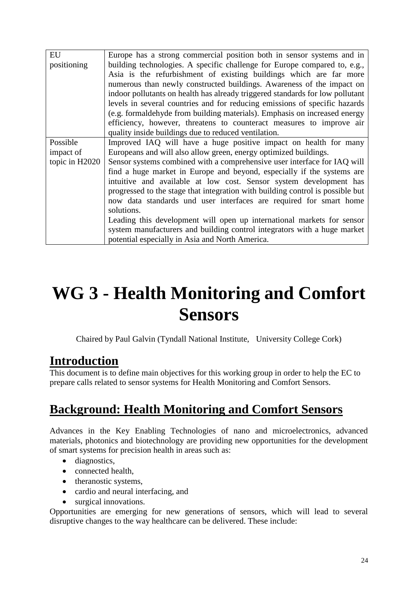| EU             | Europe has a strong commercial position both in sensor systems and in          |
|----------------|--------------------------------------------------------------------------------|
| positioning    | building technologies. A specific challenge for Europe compared to, e.g.,      |
|                | Asia is the refurbishment of existing buildings which are far more             |
|                | numerous than newly constructed buildings. Awareness of the impact on          |
|                | indoor pollutants on health has already triggered standards for low pollutant  |
|                | levels in several countries and for reducing emissions of specific hazards     |
|                | (e.g. formaldehyde from building materials). Emphasis on increased energy      |
|                | efficiency, however, threatens to counteract measures to improve air           |
|                | quality inside buildings due to reduced ventilation.                           |
| Possible       | Improved IAQ will have a huge positive impact on health for many               |
| impact of      | Europeans and will also allow green, energy optimized buildings.               |
| topic in H2020 | Sensor systems combined with a comprehensive user interface for IAQ will       |
|                | find a huge market in Europe and beyond, especially if the systems are         |
|                | intuitive and available at low cost. Sensor system development has             |
|                | progressed to the stage that integration with building control is possible but |
|                | now data standards und user interfaces are required for smart home             |
|                | solutions.                                                                     |
|                | Leading this development will open up international markets for sensor         |
|                | system manufacturers and building control integrators with a huge market       |
|                | potential especially in Asia and North America.                                |

# **WG 3 - Health Monitoring and Comfort Sensors**

Chaired by Paul Galvin (Tyndall National Institute, University College Cork)

## **Introduction**

This document is to define main objectives for this working group in order to help the EC to prepare calls related to sensor systems for Health Monitoring and Comfort Sensors.

## **Background: Health Monitoring and Comfort Sensors**

Advances in the Key Enabling Technologies of nano and microelectronics, advanced materials, photonics and biotechnology are providing new opportunities for the development of smart systems for precision health in areas such as:

- diagnostics,
- connected health,
- theranostic systems,
- cardio and neural interfacing, and
- surgical innovations.

Opportunities are emerging for new generations of sensors, which will lead to several disruptive changes to the way healthcare can be delivered. These include: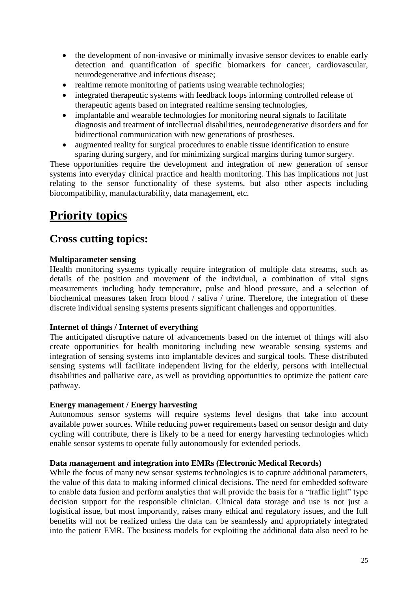- the development of non-invasive or minimally invasive sensor devices to enable early detection and quantification of specific biomarkers for cancer, cardiovascular, neurodegenerative and infectious disease;
- realtime remote monitoring of patients using wearable technologies;
- integrated therapeutic systems with feedback loops informing controlled release of therapeutic agents based on integrated realtime sensing technologies,
- implantable and wearable technologies for monitoring neural signals to facilitate diagnosis and treatment of intellectual disabilities, neurodegenerative disorders and for bidirectional communication with new generations of prostheses.
- augmented reality for surgical procedures to enable tissue identification to ensure sparing during surgery, and for minimizing surgical margins during tumor surgery.

These opportunities require the development and integration of new generation of sensor systems into everyday clinical practice and health monitoring. This has implications not just relating to the sensor functionality of these systems, but also other aspects including biocompatibility, manufacturability, data management, etc.

## **Priority topics**

### **Cross cutting topics:**

### **Multiparameter sensing**

Health monitoring systems typically require integration of multiple data streams, such as details of the position and movement of the individual, a combination of vital signs measurements including body temperature, pulse and blood pressure, and a selection of biochemical measures taken from blood / saliva / urine. Therefore, the integration of these discrete individual sensing systems presents significant challenges and opportunities.

### **Internet of things / Internet of everything**

The anticipated disruptive nature of advancements based on the internet of things will also create opportunities for health monitoring including new wearable sensing systems and integration of sensing systems into implantable devices and surgical tools. These distributed sensing systems will facilitate independent living for the elderly, persons with intellectual disabilities and palliative care, as well as providing opportunities to optimize the patient care pathway.

### **Energy management / Energy harvesting**

Autonomous sensor systems will require systems level designs that take into account available power sources. While reducing power requirements based on sensor design and duty cycling will contribute, there is likely to be a need for energy harvesting technologies which enable sensor systems to operate fully autonomously for extended periods.

### **Data management and integration into EMRs (Electronic Medical Records)**

While the focus of many new sensor systems technologies is to capture additional parameters, the value of this data to making informed clinical decisions. The need for embedded software to enable data fusion and perform analytics that will provide the basis for a "traffic light" type decision support for the responsible clinician. Clinical data storage and use is not just a logistical issue, but most importantly, raises many ethical and regulatory issues, and the full benefits will not be realized unless the data can be seamlessly and appropriately integrated into the patient EMR. The business models for exploiting the additional data also need to be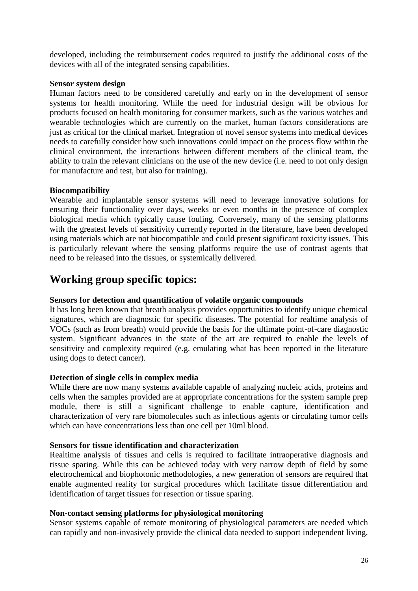developed, including the reimbursement codes required to justify the additional costs of the devices with all of the integrated sensing capabilities.

#### **Sensor system design**

Human factors need to be considered carefully and early on in the development of sensor systems for health monitoring. While the need for industrial design will be obvious for products focused on health monitoring for consumer markets, such as the various watches and wearable technologies which are currently on the market, human factors considerations are just as critical for the clinical market. Integration of novel sensor systems into medical devices needs to carefully consider how such innovations could impact on the process flow within the clinical environment, the interactions between different members of the clinical team, the ability to train the relevant clinicians on the use of the new device (i.e. need to not only design for manufacture and test, but also for training).

### **Biocompatibility**

Wearable and implantable sensor systems will need to leverage innovative solutions for ensuring their functionality over days, weeks or even months in the presence of complex biological media which typically cause fouling. Conversely, many of the sensing platforms with the greatest levels of sensitivity currently reported in the literature, have been developed using materials which are not biocompatible and could present significant toxicity issues. This is particularly relevant where the sensing platforms require the use of contrast agents that need to be released into the tissues, or systemically delivered.

### **Working group specific topics:**

### **Sensors for detection and quantification of volatile organic compounds**

It has long been known that breath analysis provides opportunities to identify unique chemical signatures, which are diagnostic for specific diseases. The potential for realtime analysis of VOCs (such as from breath) would provide the basis for the ultimate point-of-care diagnostic system. Significant advances in the state of the art are required to enable the levels of sensitivity and complexity required (e.g. emulating what has been reported in the literature using dogs to detect cancer).

#### **Detection of single cells in complex media**

While there are now many systems available capable of analyzing nucleic acids, proteins and cells when the samples provided are at appropriate concentrations for the system sample prep module, there is still a significant challenge to enable capture, identification and characterization of very rare biomolecules such as infectious agents or circulating tumor cells which can have concentrations less than one cell per 10ml blood.

#### **Sensors for tissue identification and characterization**

Realtime analysis of tissues and cells is required to facilitate intraoperative diagnosis and tissue sparing. While this can be achieved today with very narrow depth of field by some electrochemical and biophotonic methodologies, a new generation of sensors are required that enable augmented reality for surgical procedures which facilitate tissue differentiation and identification of target tissues for resection or tissue sparing.

### **Non-contact sensing platforms for physiological monitoring**

Sensor systems capable of remote monitoring of physiological parameters are needed which can rapidly and non-invasively provide the clinical data needed to support independent living,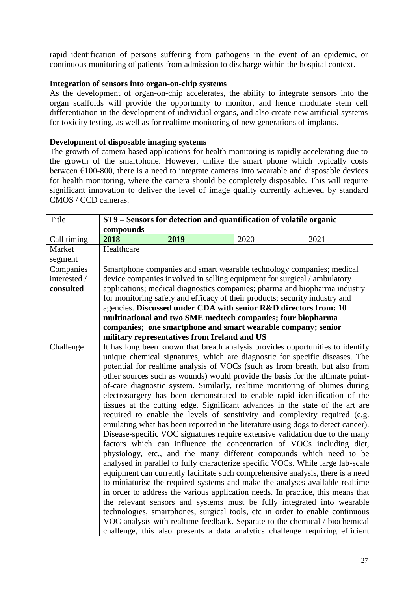rapid identification of persons suffering from pathogens in the event of an epidemic, or continuous monitoring of patients from admission to discharge within the hospital context.

#### **Integration of sensors into organ-on-chip systems**

As the development of organ-on-chip accelerates, the ability to integrate sensors into the organ scaffolds will provide the opportunity to monitor, and hence modulate stem cell differentiation in the development of individual organs, and also create new artificial systems for toxicity testing, as well as for realtime monitoring of new generations of implants.

#### **Development of disposable imaging systems**

The growth of camera based applications for health monitoring is rapidly accelerating due to the growth of the smartphone. However, unlike the smart phone which typically costs between  $\epsilon$ 100-800, there is a need to integrate cameras into wearable and disposable devices for health monitoring, where the camera should be completely disposable. This will require significant innovation to deliver the level of image quality currently achieved by standard CMOS / CCD cameras.

| Title        | ST9 – Sensors for detection and quantification of volatile organic            |                                              |                                                                                  |      |
|--------------|-------------------------------------------------------------------------------|----------------------------------------------|----------------------------------------------------------------------------------|------|
|              | compounds                                                                     |                                              |                                                                                  |      |
| Call timing  | 2018                                                                          | 2019                                         | 2020                                                                             | 2021 |
| Market       | Healthcare                                                                    |                                              |                                                                                  |      |
| segment      |                                                                               |                                              |                                                                                  |      |
| Companies    |                                                                               |                                              | Smartphone companies and smart wearable technology companies; medical            |      |
| interested / |                                                                               |                                              | device companies involved in selling equipment for surgical / ambulatory         |      |
| consulted    |                                                                               |                                              | applications; medical diagnostics companies; pharma and biopharma industry       |      |
|              |                                                                               |                                              | for monitoring safety and efficacy of their products; security industry and      |      |
|              |                                                                               |                                              | agencies. Discussed under CDA with senior R&D directors from: 10                 |      |
|              |                                                                               |                                              | multinational and two SME medtech companies; four biopharma                      |      |
|              |                                                                               |                                              | companies; one smartphone and smart wearable company; senior                     |      |
|              |                                                                               | military representatives from Ireland and US |                                                                                  |      |
| Challenge    |                                                                               |                                              | It has long been known that breath analysis provides opportunities to identify   |      |
|              |                                                                               |                                              | unique chemical signatures, which are diagnostic for specific diseases. The      |      |
|              |                                                                               |                                              | potential for realtime analysis of VOCs (such as from breath, but also from      |      |
|              | other sources such as wounds) would provide the basis for the ultimate point- |                                              |                                                                                  |      |
|              | of-care diagnostic system. Similarly, realtime monitoring of plumes during    |                                              |                                                                                  |      |
|              | electrosurgery has been demonstrated to enable rapid identification of the    |                                              |                                                                                  |      |
|              | tissues at the cutting edge. Significant advances in the state of the art are |                                              |                                                                                  |      |
|              | required to enable the levels of sensitivity and complexity required (e.g.    |                                              |                                                                                  |      |
|              |                                                                               |                                              | emulating what has been reported in the literature using dogs to detect cancer). |      |
|              |                                                                               |                                              | Disease-specific VOC signatures require extensive validation due to the many     |      |
|              |                                                                               |                                              | factors which can influence the concentration of VOCs including diet,            |      |
|              |                                                                               |                                              | physiology, etc., and the many different compounds which need to be              |      |
|              |                                                                               |                                              | analysed in parallel to fully characterize specific VOCs. While large lab-scale  |      |
|              |                                                                               |                                              | equipment can currently facilitate such comprehensive analysis, there is a need  |      |
|              |                                                                               |                                              | to miniaturise the required systems and make the analyses available realtime     |      |
|              |                                                                               |                                              | in order to address the various application needs. In practice, this means that  |      |
|              |                                                                               |                                              | the relevant sensors and systems must be fully integrated into wearable          |      |
|              |                                                                               |                                              | technologies, smartphones, surgical tools, etc in order to enable continuous     |      |
|              |                                                                               |                                              | VOC analysis with realtime feedback. Separate to the chemical / biochemical      |      |
|              |                                                                               |                                              | challenge, this also presents a data analytics challenge requiring efficient     |      |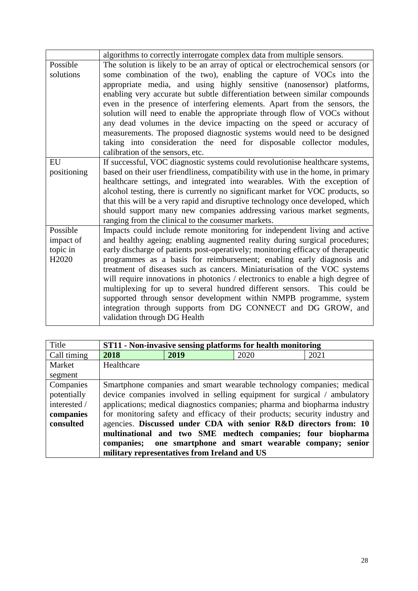|                   | algorithms to correctly interrogate complex data from multiple sensors.          |
|-------------------|----------------------------------------------------------------------------------|
| Possible          | The solution is likely to be an array of optical or electrochemical sensors (or  |
| solutions         | some combination of the two), enabling the capture of VOCs into the              |
|                   | appropriate media, and using highly sensitive (nanosensor) platforms,            |
|                   | enabling very accurate but subtle differentiation between similar compounds      |
|                   | even in the presence of interfering elements. Apart from the sensors, the        |
|                   | solution will need to enable the appropriate through flow of VOCs without        |
|                   | any dead volumes in the device impacting on the speed or accuracy of             |
|                   | measurements. The proposed diagnostic systems would need to be designed          |
|                   | taking into consideration the need for disposable collector modules,             |
|                   | calibration of the sensors, etc.                                                 |
| EU                | If successful, VOC diagnostic systems could revolutionise healthcare systems,    |
| positioning       | based on their user friendliness, compatibility with use in the home, in primary |
|                   | healthcare settings, and integrated into wearables. With the exception of        |
|                   | alcohol testing, there is currently no significant market for VOC products, so   |
|                   | that this will be a very rapid and disruptive technology once developed, which   |
|                   | should support many new companies addressing various market segments,            |
|                   | ranging from the clinical to the consumer markets.                               |
| Possible          | Impacts could include remote monitoring for independent living and active        |
| impact of         | and healthy ageing; enabling augmented reality during surgical procedures;       |
| topic in          | early discharge of patients post-operatively; monitoring efficacy of therapeutic |
| H <sub>2020</sub> | programmes as a basis for reimbursement; enabling early diagnosis and            |
|                   | treatment of diseases such as cancers. Miniaturisation of the VOC systems        |
|                   | will require innovations in photonics / electronics to enable a high degree of   |
|                   | multiplexing for up to several hundred different sensors. This could be          |
|                   | supported through sensor development within NMPB programme, system               |
|                   | integration through supports from DG CONNECT and DG GROW, and                    |
|                   | validation through DG Health                                                     |

| Title        |                                                                            |                                              | ST11 - Non-invasive sensing platforms for health monitoring                 |      |
|--------------|----------------------------------------------------------------------------|----------------------------------------------|-----------------------------------------------------------------------------|------|
| Call timing  | 2018                                                                       | 2019                                         | 2020                                                                        | 2021 |
| Market       | Healthcare                                                                 |                                              |                                                                             |      |
| segment      |                                                                            |                                              |                                                                             |      |
| Companies    |                                                                            |                                              | Smartphone companies and smart wearable technology companies; medical       |      |
| potentially  |                                                                            |                                              | device companies involved in selling equipment for surgical / ambulatory    |      |
| interested / | applications; medical diagnostics companies; pharma and biopharma industry |                                              |                                                                             |      |
| companies    |                                                                            |                                              | for monitoring safety and efficacy of their products; security industry and |      |
| consulted    |                                                                            |                                              | agencies. Discussed under CDA with senior R&D directors from: 10            |      |
|              |                                                                            |                                              | multinational and two SME medtech companies; four biopharma                 |      |
|              |                                                                            |                                              | companies; one smartphone and smart wearable company; senior                |      |
|              |                                                                            | military representatives from Ireland and US |                                                                             |      |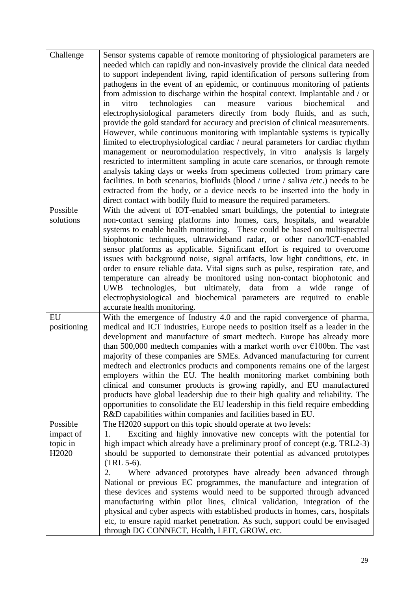| Challenge                                              | Sensor systems capable of remote monitoring of physiological parameters are<br>needed which can rapidly and non-invasively provide the clinical data needed<br>to support independent living, rapid identification of persons suffering from<br>pathogens in the event of an epidemic, or continuous monitoring of patients<br>from admission to discharge within the hospital context. Implantable and / or<br>measure<br>various<br>biochemical<br>technologies<br>can<br>vitro<br>and<br>in<br>electrophysiological parameters directly from body fluids, and as such,<br>provide the gold standard for accuracy and precision of clinical measurements.<br>However, while continuous monitoring with implantable systems is typically<br>limited to electrophysiological cardiac / neural parameters for cardiac rhythm<br>management or neuromodulation respectively, in vitro analysis is largely<br>restricted to intermittent sampling in acute care scenarios, or through remote<br>analysis taking days or weeks from specimens collected from primary care<br>facilities. In both scenarios, biofluids (blood / urine / saliva /etc.) needs to be<br>extracted from the body, or a device needs to be inserted into the body in<br>direct contact with bodily fluid to measure the required parameters. |
|--------------------------------------------------------|--------------------------------------------------------------------------------------------------------------------------------------------------------------------------------------------------------------------------------------------------------------------------------------------------------------------------------------------------------------------------------------------------------------------------------------------------------------------------------------------------------------------------------------------------------------------------------------------------------------------------------------------------------------------------------------------------------------------------------------------------------------------------------------------------------------------------------------------------------------------------------------------------------------------------------------------------------------------------------------------------------------------------------------------------------------------------------------------------------------------------------------------------------------------------------------------------------------------------------------------------------------------------------------------------------------------|
| Possible<br>solutions                                  | With the advent of IOT-enabled smart buildings, the potential to integrate<br>non-contact sensing platforms into homes, cars, hospitals, and wearable<br>systems to enable health monitoring. These could be based on multispectral<br>biophotonic techniques, ultrawideband radar, or other nano/ICT-enabled<br>sensor platforms as applicable. Significant effort is required to overcome<br>issues with background noise, signal artifacts, low light conditions, etc. in<br>order to ensure reliable data. Vital signs such as pulse, respiration rate, and<br>temperature can already be monitored using non-contact biophotonic and                                                                                                                                                                                                                                                                                                                                                                                                                                                                                                                                                                                                                                                                          |
|                                                        | UWB technologies, but ultimately, data from a wide range of<br>electrophysiological and biochemical parameters are required to enable<br>accurate health monitoring.                                                                                                                                                                                                                                                                                                                                                                                                                                                                                                                                                                                                                                                                                                                                                                                                                                                                                                                                                                                                                                                                                                                                               |
| EU<br>positioning                                      | With the emergence of Industry 4.0 and the rapid convergence of pharma,<br>medical and ICT industries, Europe needs to position itself as a leader in the<br>development and manufacture of smart medtech. Europe has already more<br>than 500,000 medtech companies with a market worth over $E100$ bn. The vast<br>majority of these companies are SMEs. Advanced manufacturing for current<br>medtech and electronics products and components remains one of the largest<br>employers within the EU. The health monitoring market combining both<br>clinical and consumer products is growing rapidly, and EU manufactured<br>products have global leadership due to their high quality and reliability. The<br>opportunities to consolidate the EU leadership in this field require embedding<br>R&D capabilities within companies and facilities based in EU.                                                                                                                                                                                                                                                                                                                                                                                                                                                 |
| Possible<br>impact of<br>topic in<br>H <sub>2020</sub> | The H2020 support on this topic should operate at two levels:<br>Exciting and highly innovative new concepts with the potential for<br>1.<br>high impact which already have a preliminary proof of concept (e.g. TRL2-3)<br>should be supported to demonstrate their potential as advanced prototypes<br>$(TRL 5-6)$ .<br>Where advanced prototypes have already been advanced through<br>2.<br>National or previous EC programmes, the manufacture and integration of<br>these devices and systems would need to be supported through advanced<br>manufacturing within pilot lines, clinical validation, integration of the<br>physical and cyber aspects with established products in homes, cars, hospitals<br>etc, to ensure rapid market penetration. As such, support could be envisaged<br>through DG CONNECT, Health, LEIT, GROW, etc.                                                                                                                                                                                                                                                                                                                                                                                                                                                                     |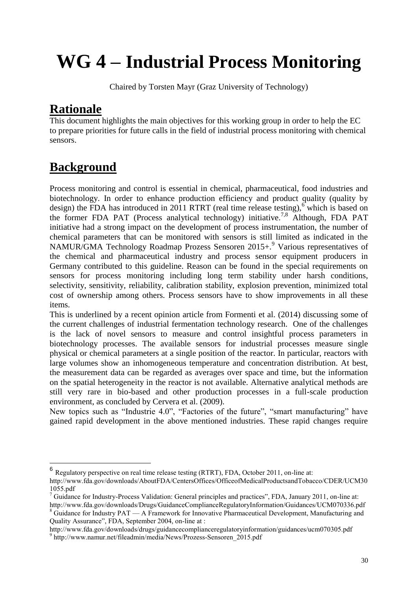# **WG 4 – Industrial Process Monitoring**

Chaired by Torsten Mayr (Graz University of Technology)

### **Rationale**

This document highlights the main objectives for this working group in order to help the EC to prepare priorities for future calls in the field of industrial process monitoring with chemical sensors.

## **Background**

1

Process monitoring and control is essential in chemical, pharmaceutical, food industries and biotechnology. In order to enhance production efficiency and product quality (quality by design) the FDA has introduced in 2011 RTRT (real time release testing),<sup>6</sup> which is based on the former FDA PAT (Process analytical technology) initiative.<sup>7,8</sup> Although, FDA PAT initiative had a strong impact on the development of process instrumentation, the number of chemical parameters that can be monitored with sensors is still limited as indicated in the NAMUR/GMA Technology Roadmap Prozess Sensoren 2015+.<sup>9</sup> Various representatives of the chemical and pharmaceutical industry and process sensor equipment producers in Germany contributed to this guideline. Reason can be found in the special requirements on sensors for process monitoring including long term stability under harsh conditions, selectivity, sensitivity, reliability, calibration stability, explosion prevention, minimized total cost of ownership among others. Process sensors have to show improvements in all these items.

This is underlined by a recent opinion article from Formenti et al. (2014) discussing some of the current challenges of industrial fermentation technology research. One of the challenges is the lack of novel sensors to measure and control insightful process parameters in biotechnology processes. The available sensors for industrial processes measure single physical or chemical parameters at a single position of the reactor. In particular, reactors with large volumes show an inhomogeneous temperature and concentration distribution. At best, the measurement data can be regarded as averages over space and time, but the information on the spatial heterogeneity in the reactor is not available. Alternative analytical methods are still very rare in bio-based and other production processes in a full-scale production environment, as concluded by Cervera et al. (2009).

New topics such as "Industrie 4.0", "Factories of the future", "smart manufacturing" have gained rapid development in the above mentioned industries. These rapid changes require

Quality Assurance", FDA, September 2004, on-line at : http://www.fda.gov/downloads/drugs/guidancecomplianceregulatoryinformation/guidances/ucm070305.pdf <sup>9</sup> http://www.namur.net/fileadmin/media/News/Prozess-Sensoren\_2015.pdf

<sup>6</sup> Regulatory perspective on real time release testing (RTRT), FDA, October 2011, on-line at:

http://www.fda.gov/downloads/AboutFDA/CentersOffices/OfficeofMedicalProductsandTobacco/CDER/UCM30 1055.pdf

<sup>&</sup>lt;sup>7</sup> Guidance for Industry-Process Validation: General principles and practices", FDA, January 2011, on-line at: http://www.fda.gov/downloads/Drugs/GuidanceComplianceRegulatoryInformation/Guidances/UCM070336.pdf  $8$  Guidance for Industry PAT — A Framework for Innovative Pharmaceutical Development, Manufacturing and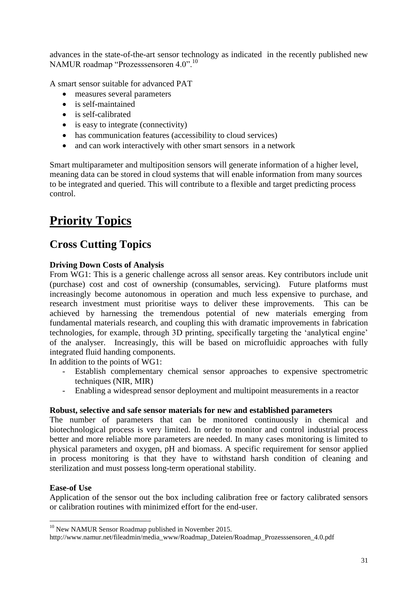advances in the state-of-the-art sensor technology as indicated in the recently published new NAMUR roadmap "Prozesssensoren 4.0".<sup>10</sup>

A smart sensor suitable for advanced PAT

- measures several parameters
- is self-maintained
- is self-calibrated
- is easy to integrate (connectivity)
- has communication features (accessibility to cloud services)
- and can work interactively with other smart sensors in a network

Smart multiparameter and multiposition sensors will generate information of a higher level, meaning data can be stored in cloud systems that will enable information from many sources to be integrated and queried. This will contribute to a flexible and target predicting process control.

# **Priority Topics**

### **Cross Cutting Topics**

### **Driving Down Costs of Analysis**

From WG1: This is a generic challenge across all sensor areas. Key contributors include unit (purchase) cost and cost of ownership (consumables, servicing). Future platforms must increasingly become autonomous in operation and much less expensive to purchase, and research investment must prioritise ways to deliver these improvements. This can be achieved by harnessing the tremendous potential of new materials emerging from fundamental materials research, and coupling this with dramatic improvements in fabrication technologies, for example, through 3D printing, specifically targeting the 'analytical engine' of the analyser. Increasingly, this will be based on microfluidic approaches with fully integrated fluid handing components.

In addition to the points of WG1:

- Establish complementary chemical sensor approaches to expensive spectrometric techniques (NIR, MIR)
- Enabling a widespread sensor deployment and multipoint measurements in a reactor

### **Robust, selective and safe sensor materials for new and established parameters**

The number of parameters that can be monitored continuously in chemical and biotechnological process is very limited. In order to monitor and control industrial process better and more reliable more parameters are needed. In many cases monitoring is limited to physical parameters and oxygen, pH and biomass. A specific requirement for sensor applied in process monitoring is that they have to withstand harsh condition of cleaning and sterilization and must possess long-term operational stability.

#### **Ease-of Use**

<u>.</u>

Application of the sensor out the box including calibration free or factory calibrated sensors or calibration routines with minimized effort for the end-user.

<sup>&</sup>lt;sup>10</sup> New NAMUR Sensor Roadmap published in November 2015.

http://www.namur.net/fileadmin/media\_www/Roadmap\_Dateien/Roadmap\_Prozesssensoren\_4.0.pdf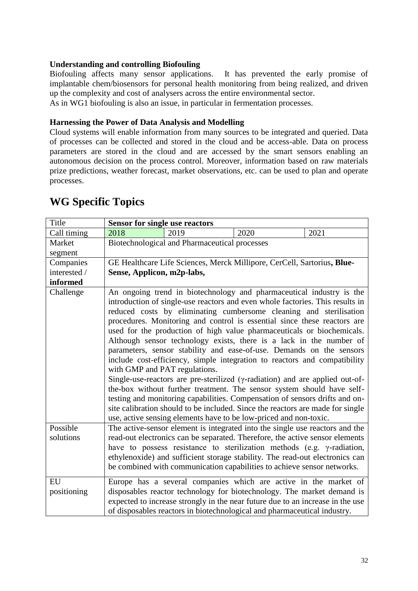### **Understanding and controlling Biofouling**

Biofouling affects many sensor applications. It has prevented the early promise of implantable chem/biosensors for personal health monitoring from being realized, and driven up the complexity and cost of analysers across the entire environmental sector.

As in WG1 biofouling is also an issue, in particular in fermentation processes.

### **Harnessing the Power of Data Analysis and Modelling**

Cloud systems will enable information from many sources to be integrated and queried. Data of processes can be collected and stored in the cloud and be access-able. Data on process parameters are stored in the cloud and are accessed by the smart sensors enabling an autonomous decision on the process control. Moreover, information based on raw materials prize predictions, weather forecast, market observations, etc. can be used to plan and operate processes.

| Title             | <b>Sensor for single use reactors</b>                                                                                                                                                                                                                                                                                                                                                                                                                                                                                                                                                                                                                                                                                                                                                                                                                                                                                                                                                                                                                   |                                               |                                                                                                                                                                                                                                                                                                          |      |  |
|-------------------|---------------------------------------------------------------------------------------------------------------------------------------------------------------------------------------------------------------------------------------------------------------------------------------------------------------------------------------------------------------------------------------------------------------------------------------------------------------------------------------------------------------------------------------------------------------------------------------------------------------------------------------------------------------------------------------------------------------------------------------------------------------------------------------------------------------------------------------------------------------------------------------------------------------------------------------------------------------------------------------------------------------------------------------------------------|-----------------------------------------------|----------------------------------------------------------------------------------------------------------------------------------------------------------------------------------------------------------------------------------------------------------------------------------------------------------|------|--|
| Call timing       | 2018                                                                                                                                                                                                                                                                                                                                                                                                                                                                                                                                                                                                                                                                                                                                                                                                                                                                                                                                                                                                                                                    | 2019                                          | 2020                                                                                                                                                                                                                                                                                                     | 2021 |  |
| Market            |                                                                                                                                                                                                                                                                                                                                                                                                                                                                                                                                                                                                                                                                                                                                                                                                                                                                                                                                                                                                                                                         | Biotechnological and Pharmaceutical processes |                                                                                                                                                                                                                                                                                                          |      |  |
| segment           |                                                                                                                                                                                                                                                                                                                                                                                                                                                                                                                                                                                                                                                                                                                                                                                                                                                                                                                                                                                                                                                         |                                               |                                                                                                                                                                                                                                                                                                          |      |  |
| Companies         |                                                                                                                                                                                                                                                                                                                                                                                                                                                                                                                                                                                                                                                                                                                                                                                                                                                                                                                                                                                                                                                         |                                               | GE Healthcare Life Sciences, Merck Millipore, CerCell, Sartorius, Blue-                                                                                                                                                                                                                                  |      |  |
| interested /      |                                                                                                                                                                                                                                                                                                                                                                                                                                                                                                                                                                                                                                                                                                                                                                                                                                                                                                                                                                                                                                                         | Sense, Applicon, m2p-labs,                    |                                                                                                                                                                                                                                                                                                          |      |  |
| informed          |                                                                                                                                                                                                                                                                                                                                                                                                                                                                                                                                                                                                                                                                                                                                                                                                                                                                                                                                                                                                                                                         |                                               |                                                                                                                                                                                                                                                                                                          |      |  |
| Challenge         | An ongoing trend in biotechnology and pharmaceutical industry is the<br>introduction of single-use reactors and even whole factories. This results in<br>reduced costs by eliminating cumbersome cleaning and sterilisation<br>procedures. Monitoring and control is essential since these reactors are<br>used for the production of high value pharmaceuticals or biochemicals.<br>Although sensor technology exists, there is a lack in the number of<br>parameters, sensor stability and ease-of-use. Demands on the sensors<br>include cost-efficiency, simple integration to reactors and compatibility<br>with GMP and PAT regulations.<br>Single-use-reactors are pre-sterilized ( $\gamma$ -radiation) and are applied out-of-<br>the-box without further treatment. The sensor system should have self-<br>testing and monitoring capabilities. Compensation of sensors drifts and on-<br>site calibration should to be included. Since the reactors are made for single<br>use, active sensing elements have to be low-priced and non-toxic. |                                               |                                                                                                                                                                                                                                                                                                          |      |  |
| Possible          | The active-sensor element is integrated into the single use reactors and the                                                                                                                                                                                                                                                                                                                                                                                                                                                                                                                                                                                                                                                                                                                                                                                                                                                                                                                                                                            |                                               |                                                                                                                                                                                                                                                                                                          |      |  |
| solutions         | read-out electronics can be separated. Therefore, the active sensor elements                                                                                                                                                                                                                                                                                                                                                                                                                                                                                                                                                                                                                                                                                                                                                                                                                                                                                                                                                                            |                                               |                                                                                                                                                                                                                                                                                                          |      |  |
|                   | have to possess resistance to sterilization methods (e.g. $\gamma$ -radiation,                                                                                                                                                                                                                                                                                                                                                                                                                                                                                                                                                                                                                                                                                                                                                                                                                                                                                                                                                                          |                                               |                                                                                                                                                                                                                                                                                                          |      |  |
|                   | ethylenoxide) and sufficient storage stability. The read-out electronics can<br>be combined with communication capabilities to achieve sensor networks.                                                                                                                                                                                                                                                                                                                                                                                                                                                                                                                                                                                                                                                                                                                                                                                                                                                                                                 |                                               |                                                                                                                                                                                                                                                                                                          |      |  |
| EU<br>positioning |                                                                                                                                                                                                                                                                                                                                                                                                                                                                                                                                                                                                                                                                                                                                                                                                                                                                                                                                                                                                                                                         |                                               | Europe has a several companies which are active in the market of<br>disposables reactor technology for biotechnology. The market demand is<br>expected to increase strongly in the near future due to an increase in the use<br>of disposables reactors in biotechnological and pharmaceutical industry. |      |  |

### **WG Specific Topics**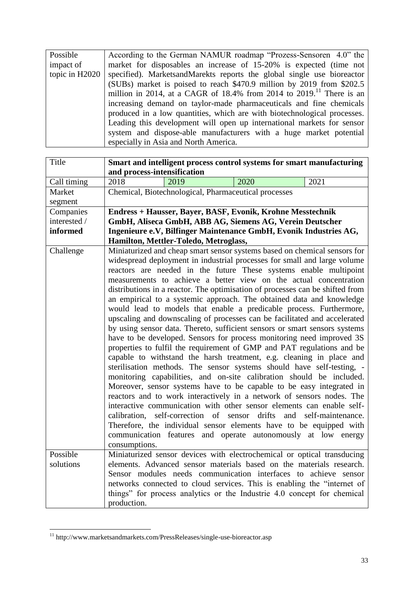| Possible       | According to the German NAMUR roadmap "Prozess-Sensoren 4.0" the                 |  |  |  |
|----------------|----------------------------------------------------------------------------------|--|--|--|
| impact of      | market for disposables an increase of 15-20% is expected (time not               |  |  |  |
| topic in H2020 | specified). MarketsandMarekts reports the global single use bioreactor           |  |  |  |
|                | (SUBs) market is poised to reach \$470.9 million by 2019 from \$202.5            |  |  |  |
|                | million in 2014, at a CAGR of 18.4% from 2014 to 2019. <sup>11</sup> There is an |  |  |  |
|                | increasing demand on taylor-made pharmaceuticals and fine chemicals              |  |  |  |
|                | produced in a low quantities, which are with biotechnological processes.         |  |  |  |
|                | Leading this development will open up international markets for sensor           |  |  |  |
|                | system and dispose-able manufacturers with a huge market potential               |  |  |  |
|                | especially in Asia and North America.                                            |  |  |  |

| Title        | Smart and intelligent process control systems for smart manufacturing                                                                                                                                                                                                                                                                                                  |  |  |  |
|--------------|------------------------------------------------------------------------------------------------------------------------------------------------------------------------------------------------------------------------------------------------------------------------------------------------------------------------------------------------------------------------|--|--|--|
|              | and process-intensification                                                                                                                                                                                                                                                                                                                                            |  |  |  |
| Call timing  | 2020<br>2021<br>2018<br>2019                                                                                                                                                                                                                                                                                                                                           |  |  |  |
| Market       | Chemical, Biotechnological, Pharmaceutical processes                                                                                                                                                                                                                                                                                                                   |  |  |  |
| segment      |                                                                                                                                                                                                                                                                                                                                                                        |  |  |  |
| Companies    | Endress + Hausser, Bayer, BASF, Evonik, Krohne Messtechnik                                                                                                                                                                                                                                                                                                             |  |  |  |
| interested / | GmbH, Aliseca GmbH, ABB AG, Siemens AG, Verein Deutscher                                                                                                                                                                                                                                                                                                               |  |  |  |
| informed     | Ingenieure e.V, Bilfinger Maintenance GmbH, Evonik Industries AG,                                                                                                                                                                                                                                                                                                      |  |  |  |
|              | Hamilton, Mettler-Toledo, Metroglass,                                                                                                                                                                                                                                                                                                                                  |  |  |  |
| Challenge    | Miniaturized and cheap smart sensor systems based on chemical sensors for                                                                                                                                                                                                                                                                                              |  |  |  |
|              | widespread deployment in industrial processes for small and large volume                                                                                                                                                                                                                                                                                               |  |  |  |
|              | reactors are needed in the future These systems enable multipoint                                                                                                                                                                                                                                                                                                      |  |  |  |
|              | measurements to achieve a better view on the actual concentration                                                                                                                                                                                                                                                                                                      |  |  |  |
|              | distributions in a reactor. The optimisation of processes can be shifted from                                                                                                                                                                                                                                                                                          |  |  |  |
|              | an empirical to a systemic approach. The obtained data and knowledge                                                                                                                                                                                                                                                                                                   |  |  |  |
|              | would lead to models that enable a predicable process. Furthermore,                                                                                                                                                                                                                                                                                                    |  |  |  |
|              | upscaling and downscaling of processes can be facilitated and accelerated                                                                                                                                                                                                                                                                                              |  |  |  |
|              | by using sensor data. Thereto, sufficient sensors or smart sensors systems                                                                                                                                                                                                                                                                                             |  |  |  |
|              | have to be developed. Sensors for process monitoring need improved 3S                                                                                                                                                                                                                                                                                                  |  |  |  |
|              | properties to fulfil the requirement of GMP and PAT regulations and be                                                                                                                                                                                                                                                                                                 |  |  |  |
|              | capable to withstand the harsh treatment, e.g. cleaning in place and                                                                                                                                                                                                                                                                                                   |  |  |  |
|              | sterilisation methods. The sensor systems should have self-testing, -                                                                                                                                                                                                                                                                                                  |  |  |  |
|              | monitoring capabilities, and on-site calibration should be included.                                                                                                                                                                                                                                                                                                   |  |  |  |
|              | Moreover, sensor systems have to be capable to be easy integrated in<br>reactors and to work interactively in a network of sensors nodes. The<br>interactive communication with other sensor elements can enable self-<br>self-correction of sensor drifts and self-maintenance.<br>calibration,<br>Therefore, the individual sensor elements have to be equipped with |  |  |  |
|              |                                                                                                                                                                                                                                                                                                                                                                        |  |  |  |
|              |                                                                                                                                                                                                                                                                                                                                                                        |  |  |  |
|              |                                                                                                                                                                                                                                                                                                                                                                        |  |  |  |
|              |                                                                                                                                                                                                                                                                                                                                                                        |  |  |  |
|              | communication features and operate autonomously at low energy                                                                                                                                                                                                                                                                                                          |  |  |  |
|              | consumptions.                                                                                                                                                                                                                                                                                                                                                          |  |  |  |
| Possible     | Miniaturized sensor devices with electrochemical or optical transducing                                                                                                                                                                                                                                                                                                |  |  |  |
| solutions    | elements. Advanced sensor materials based on the materials research.                                                                                                                                                                                                                                                                                                   |  |  |  |
|              | Sensor modules needs communication interfaces to achieve sensor                                                                                                                                                                                                                                                                                                        |  |  |  |
|              | networks connected to cloud services. This is enabling the "internet of                                                                                                                                                                                                                                                                                                |  |  |  |
|              | things" for process analytics or the Industrie 4.0 concept for chemical                                                                                                                                                                                                                                                                                                |  |  |  |
|              | production.                                                                                                                                                                                                                                                                                                                                                            |  |  |  |

<sup>&</sup>lt;sup>11</sup> http://www.marketsandmarkets.com/PressReleases/single-use-bioreactor.asp

1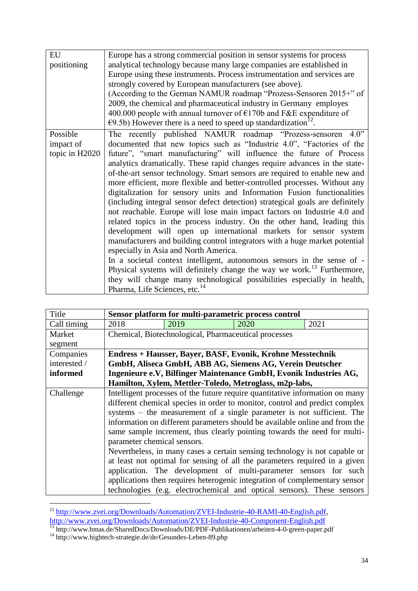| EU             | Europe has a strong commercial position in sensor systems for process                                                |  |  |  |  |
|----------------|----------------------------------------------------------------------------------------------------------------------|--|--|--|--|
| positioning    | analytical technology because many large companies are established in                                                |  |  |  |  |
|                | Europe using these instruments. Process instrumentation and services are                                             |  |  |  |  |
|                | strongly covered by European manufacturers (see above).                                                              |  |  |  |  |
|                | (According to the German NAMUR roadmap "Prozess-Sensoren 2015+" of                                                   |  |  |  |  |
|                | 2009, the chemical and pharmaceutical industry in Germany employes                                                   |  |  |  |  |
|                | 400.000 people with annual turnover of $E170b$ and F&E expenditure of                                                |  |  |  |  |
|                | $\epsilon$ 9.5b) However there is a need to speed up standardization <sup>12</sup> .                                 |  |  |  |  |
| Possible       | The recently published NAMUR roadmap "Prozess-sensoren 4.0"                                                          |  |  |  |  |
| impact of      | documented that new topics such as "Industrie 4.0", "Factories of the                                                |  |  |  |  |
| topic in H2020 | future", "smart manufacturing" will influence the future of Process                                                  |  |  |  |  |
|                | analytics dramatically. These rapid changes require advances in the state-                                           |  |  |  |  |
|                | of-the-art sensor technology. Smart sensors are required to enable new and                                           |  |  |  |  |
|                | more efficient, more flexible and better-controlled processes. Without any                                           |  |  |  |  |
|                | digitalization for sensory units and Information Fusion functionalities                                              |  |  |  |  |
|                | (including integral sensor defect detection) strategical goals are definitely                                        |  |  |  |  |
|                | not reachable. Europe will lose main impact factors on Industrie 4.0 and                                             |  |  |  |  |
|                | related topics in the process industry. On the other hand, leading this                                              |  |  |  |  |
|                | development will open up international markets for sensor system                                                     |  |  |  |  |
|                | manufacturers and building control integrators with a huge market potential<br>especially in Asia and North America. |  |  |  |  |
|                |                                                                                                                      |  |  |  |  |
|                | In a societal context intelligent, autonomous sensors in the sense of -                                              |  |  |  |  |
|                | Physical systems will definitely change the way we work. <sup>13</sup> Furthermore,                                  |  |  |  |  |
|                | they will change many technological possibilities especially in health,                                              |  |  |  |  |
|                | Pharma, Life Sciences, etc. <sup>14</sup>                                                                            |  |  |  |  |

| Title        | Sensor platform for multi-parametric process control                                                                                                     |      |      |      |
|--------------|----------------------------------------------------------------------------------------------------------------------------------------------------------|------|------|------|
| Call timing  | 2018                                                                                                                                                     | 2019 | 2020 | 2021 |
| Market       | Chemical, Biotechnological, Pharmaceutical processes                                                                                                     |      |      |      |
| segment      |                                                                                                                                                          |      |      |      |
| Companies    | <b>Endress + Hausser, Bayer, BASF, Evonik, Krohne Messtechnik</b>                                                                                        |      |      |      |
| interested / | GmbH, Aliseca GmbH, ABB AG, Siemens AG, Verein Deutscher                                                                                                 |      |      |      |
| informed     | Ingenieure e.V, Bilfinger Maintenance GmbH, Evonik Industries AG,                                                                                        |      |      |      |
|              | Hamilton, Xylem, Mettler-Toledo, Metroglass, m2p-labs,                                                                                                   |      |      |      |
| Challenge    | Intelligent processes of the future require quantitative information on many                                                                             |      |      |      |
|              | different chemical species in order to monitor, control and predict complex                                                                              |      |      |      |
|              | systems – the measurement of a single parameter is not sufficient. The                                                                                   |      |      |      |
|              | information on different parameters should be available online and from the                                                                              |      |      |      |
|              | same sample increment, thus clearly pointing towards the need for multi-                                                                                 |      |      |      |
|              | parameter chemical sensors.                                                                                                                              |      |      |      |
|              | Nevertheless, in many cases a certain sensing technology is not capable or<br>at least not optimal for sensing of all the parameters required in a given |      |      |      |
|              |                                                                                                                                                          |      |      |      |
|              | application. The development of multi-parameter sensors for such                                                                                         |      |      |      |
|              | applications then requires heterogenic integration of complementary sensor<br>technologies (e.g. electrochemical and optical sensors). These sensors     |      |      |      |
|              |                                                                                                                                                          |      |      |      |

<sup>&</sup>lt;sup>12</sup> [http://www.zvei.org/Downloads/Automation/ZVEI-Industrie-40-RAMI-40-English.pdf,](http://www.zvei.org/Downloads/Automation/ZVEI-Industrie-40-RAMI-40-English.pdf) <http://www.zvei.org/Downloads/Automation/ZVEI-Industrie-40-Component-English.pdf>

1

<sup>&</sup>lt;sup>13</sup> http://www.bmas.de/SharedDocs/Downloads/DE/PDF-Publikationen/arbeiten-4-0-green-paper.pdf

<sup>&</sup>lt;sup>14</sup> http://www.hightech-strategie.de/de/Gesundes-Leben-89.php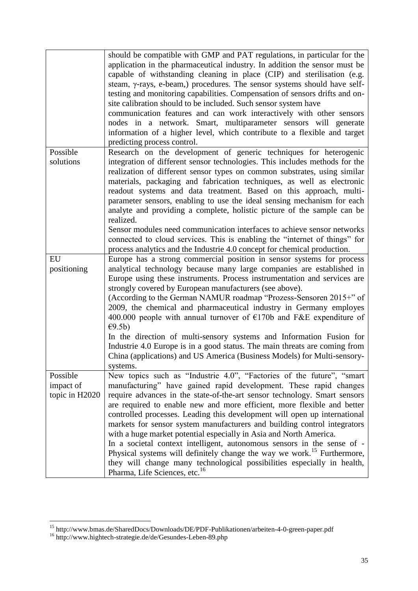|                                         | should be compatible with GMP and PAT regulations, in particular for the<br>application in the pharmaceutical industry. In addition the sensor must be<br>capable of withstanding cleaning in place (CIP) and sterilisation (e.g.<br>steam, γ-rays, e-beam,) procedures. The sensor systems should have self-<br>testing and monitoring capabilities. Compensation of sensors drifts and on-<br>site calibration should to be included. Such sensor system have<br>communication features and can work interactively with other sensors<br>nodes in a network. Smart, multiparameter sensors will generate<br>information of a higher level, which contribute to a flexible and target<br>predicting process control.                                                                                                       |
|-----------------------------------------|-----------------------------------------------------------------------------------------------------------------------------------------------------------------------------------------------------------------------------------------------------------------------------------------------------------------------------------------------------------------------------------------------------------------------------------------------------------------------------------------------------------------------------------------------------------------------------------------------------------------------------------------------------------------------------------------------------------------------------------------------------------------------------------------------------------------------------|
| Possible<br>solutions                   | Research on the development of generic techniques for heterogenic<br>integration of different sensor technologies. This includes methods for the<br>realization of different sensor types on common substrates, using similar<br>materials, packaging and fabrication techniques, as well as electronic<br>readout systems and data treatment. Based on this approach, multi-<br>parameter sensors, enabling to use the ideal sensing mechanism for each<br>analyte and providing a complete, holistic picture of the sample can be<br>realized.                                                                                                                                                                                                                                                                            |
|                                         | Sensor modules need communication interfaces to achieve sensor networks<br>connected to cloud services. This is enabling the "internet of things" for<br>process analytics and the Industrie 4.0 concept for chemical production.                                                                                                                                                                                                                                                                                                                                                                                                                                                                                                                                                                                           |
| EU<br>positioning                       | Europe has a strong commercial position in sensor systems for process<br>analytical technology because many large companies are established in<br>Europe using these instruments. Process instrumentation and services are<br>strongly covered by European manufacturers (see above).<br>(According to the German NAMUR roadmap "Prozess-Sensoren 2015+" of<br>2009, the chemical and pharmaceutical industry in Germany employes<br>400.000 people with annual turnover of $E170b$ and F&E expenditure of<br>E9.5b<br>In the direction of multi-sensory systems and Information Fusion for<br>Industrie 4.0 Europe is in a good status. The main threats are coming from<br>China (applications) and US America (Business Models) for Multi-sensory-<br>systems.                                                           |
| Possible<br>impact of<br>topic in H2020 | New topics such as "Industrie 4.0", "Factories of the future", "smart<br>manufacturing" have gained rapid development. These rapid changes<br>require advances in the state-of-the-art sensor technology. Smart sensors<br>are required to enable new and more efficient, more flexible and better<br>controlled processes. Leading this development will open up international<br>markets for sensor system manufacturers and building control integrators<br>with a huge market potential especially in Asia and North America.<br>In a societal context intelligent, autonomous sensors in the sense of -<br>Physical systems will definitely change the way we work. <sup>15</sup> Furthermore,<br>they will change many technological possibilities especially in health,<br>Pharma, Life Sciences, etc. <sup>16</sup> |

<u>.</u>

<sup>&</sup>lt;sup>15</sup> http://www.bmas.de/SharedDocs/Downloads/DE/PDF-Publikationen/arbeiten-4-0-green-paper.pdf

<sup>&</sup>lt;sup>16</sup> http://www.hightech-strategie.de/de/Gesundes-Leben-89.php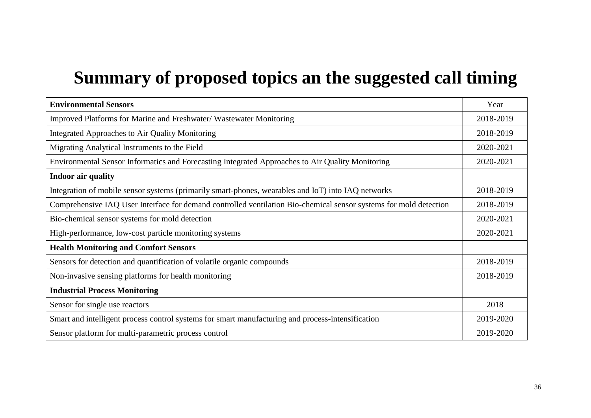# **Summary of proposed topics an the suggested call timing**

| <b>Environmental Sensors</b>                                                                                      |           |  |
|-------------------------------------------------------------------------------------------------------------------|-----------|--|
| Improved Platforms for Marine and Freshwater/Wastewater Monitoring                                                |           |  |
| Integrated Approaches to Air Quality Monitoring                                                                   |           |  |
| Migrating Analytical Instruments to the Field                                                                     | 2020-2021 |  |
| Environmental Sensor Informatics and Forecasting Integrated Approaches to Air Quality Monitoring                  |           |  |
| <b>Indoor air quality</b>                                                                                         |           |  |
| Integration of mobile sensor systems (primarily smart-phones, wearables and IoT) into IAQ networks                | 2018-2019 |  |
| Comprehensive IAQ User Interface for demand controlled ventilation Bio-chemical sensor systems for mold detection | 2018-2019 |  |
| Bio-chemical sensor systems for mold detection                                                                    | 2020-2021 |  |
| High-performance, low-cost particle monitoring systems                                                            |           |  |
| <b>Health Monitoring and Comfort Sensors</b>                                                                      |           |  |
| Sensors for detection and quantification of volatile organic compounds                                            | 2018-2019 |  |
| Non-invasive sensing platforms for health monitoring                                                              |           |  |
| <b>Industrial Process Monitoring</b>                                                                              |           |  |
| Sensor for single use reactors                                                                                    | 2018      |  |
| Smart and intelligent process control systems for smart manufacturing and process-intensification                 | 2019-2020 |  |
| Sensor platform for multi-parametric process control                                                              |           |  |